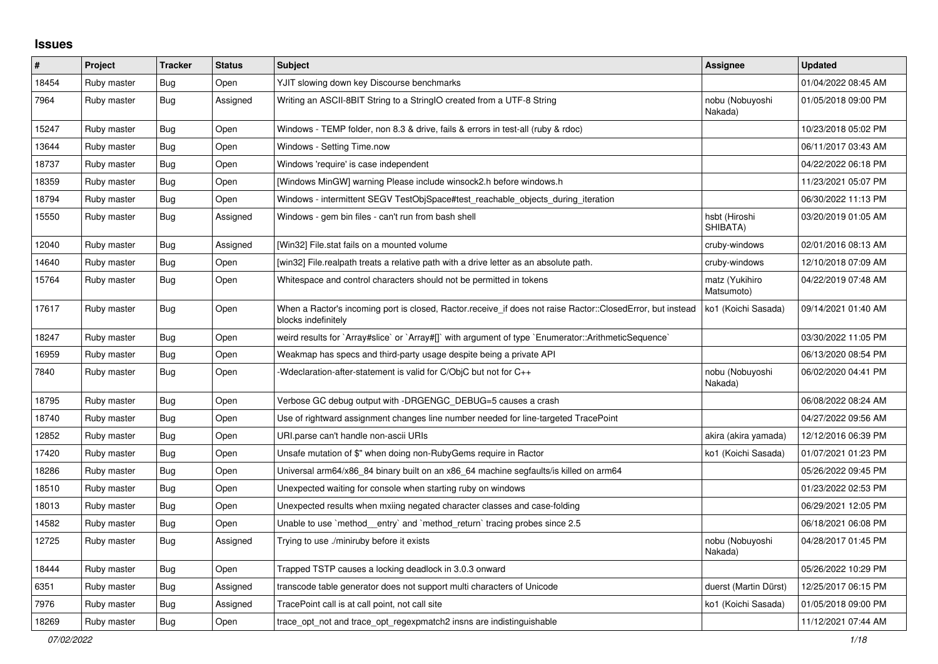## **Issues**

| #     | Project     | <b>Tracker</b> | <b>Status</b> | <b>Subject</b>                                                                                                                    | Assignee                     | <b>Updated</b>      |
|-------|-------------|----------------|---------------|-----------------------------------------------------------------------------------------------------------------------------------|------------------------------|---------------------|
| 18454 | Ruby master | <b>Bug</b>     | Open          | YJIT slowing down key Discourse benchmarks                                                                                        |                              | 01/04/2022 08:45 AM |
| 7964  | Ruby master | <b>Bug</b>     | Assigned      | Writing an ASCII-8BIT String to a StringIO created from a UTF-8 String                                                            | nobu (Nobuyoshi<br>Nakada)   | 01/05/2018 09:00 PM |
| 15247 | Ruby master | <b>Bug</b>     | Open          | Windows - TEMP folder, non 8.3 & drive, fails & errors in test-all (ruby & rdoc)                                                  |                              | 10/23/2018 05:02 PM |
| 13644 | Ruby master | <b>Bug</b>     | Open          | Windows - Setting Time.now                                                                                                        |                              | 06/11/2017 03:43 AM |
| 18737 | Ruby master | <b>Bug</b>     | Open          | Windows 'require' is case independent                                                                                             |                              | 04/22/2022 06:18 PM |
| 18359 | Ruby master | Bug            | Open          | [Windows MinGW] warning Please include winsock2.h before windows.h                                                                |                              | 11/23/2021 05:07 PM |
| 18794 | Ruby master | <b>Bug</b>     | Open          | Windows - intermittent SEGV TestObjSpace#test reachable objects during iteration                                                  |                              | 06/30/2022 11:13 PM |
| 15550 | Ruby master | <b>Bug</b>     | Assigned      | Windows - gem bin files - can't run from bash shell                                                                               | hsbt (Hiroshi<br>SHIBATA)    | 03/20/2019 01:05 AM |
| 12040 | Ruby master | Bug            | Assigned      | [Win32] File.stat fails on a mounted volume                                                                                       | cruby-windows                | 02/01/2016 08:13 AM |
| 14640 | Ruby master | Bug            | Open          | [win32] File.realpath treats a relative path with a drive letter as an absolute path.                                             | cruby-windows                | 12/10/2018 07:09 AM |
| 15764 | Ruby master | Bug            | Open          | Whitespace and control characters should not be permitted in tokens                                                               | matz (Yukihiro<br>Matsumoto) | 04/22/2019 07:48 AM |
| 17617 | Ruby master | <b>Bug</b>     | Open          | When a Ractor's incoming port is closed, Ractor.receive_if does not raise Ractor::ClosedError, but instead<br>blocks indefinitely | ko1 (Koichi Sasada)          | 09/14/2021 01:40 AM |
| 18247 | Ruby master | <b>Bug</b>     | Open          | weird results for `Array#slice` or `Array#[]` with argument of type `Enumerator::ArithmeticSequence`                              |                              | 03/30/2022 11:05 PM |
| 16959 | Ruby master | <b>Bug</b>     | Open          | Weakmap has specs and third-party usage despite being a private API                                                               |                              | 06/13/2020 08:54 PM |
| 7840  | Ruby master | Bug            | Open          | -Wdeclaration-after-statement is valid for C/ObjC but not for C++                                                                 | nobu (Nobuyoshi<br>Nakada)   | 06/02/2020 04:41 PM |
| 18795 | Ruby master | <b>Bug</b>     | Open          | Verbose GC debug output with -DRGENGC_DEBUG=5 causes a crash                                                                      |                              | 06/08/2022 08:24 AM |
| 18740 | Ruby master | <b>Bug</b>     | Open          | Use of rightward assignment changes line number needed for line-targeted TracePoint                                               |                              | 04/27/2022 09:56 AM |
| 12852 | Ruby master | Bug            | Open          | URI.parse can't handle non-ascii URIs                                                                                             | akira (akira yamada)         | 12/12/2016 06:39 PM |
| 17420 | Ruby master | Bug            | Open          | Unsafe mutation of \$" when doing non-RubyGems require in Ractor                                                                  | ko1 (Koichi Sasada)          | 01/07/2021 01:23 PM |
| 18286 | Ruby master | Bug            | Open          | Universal arm64/x86 84 binary built on an x86 64 machine segfaults/is killed on arm64                                             |                              | 05/26/2022 09:45 PM |
| 18510 | Ruby master | Bug            | Open          | Unexpected waiting for console when starting ruby on windows                                                                      |                              | 01/23/2022 02:53 PM |
| 18013 | Ruby master | <b>Bug</b>     | Open          | Unexpected results when mxiing negated character classes and case-folding                                                         |                              | 06/29/2021 12:05 PM |
| 14582 | Ruby master | Bug            | Open          | Unable to use `method_entry` and `method_return` tracing probes since 2.5                                                         |                              | 06/18/2021 06:08 PM |
| 12725 | Ruby master | Bug            | Assigned      | Trying to use ./miniruby before it exists                                                                                         | nobu (Nobuyoshi<br>Nakada)   | 04/28/2017 01:45 PM |
| 18444 | Ruby master | <b>Bug</b>     | Open          | Trapped TSTP causes a locking deadlock in 3.0.3 onward                                                                            |                              | 05/26/2022 10:29 PM |
| 6351  | Ruby master | Bug            | Assigned      | transcode table generator does not support multi characters of Unicode                                                            | duerst (Martin Dürst)        | 12/25/2017 06:15 PM |
| 7976  | Ruby master | <b>Bug</b>     | Assigned      | TracePoint call is at call point, not call site                                                                                   | ko1 (Koichi Sasada)          | 01/05/2018 09:00 PM |
| 18269 | Ruby master | <b>Bug</b>     | Open          | trace opt not and trace opt regexpmatch2 insns are indistinguishable                                                              |                              | 11/12/2021 07:44 AM |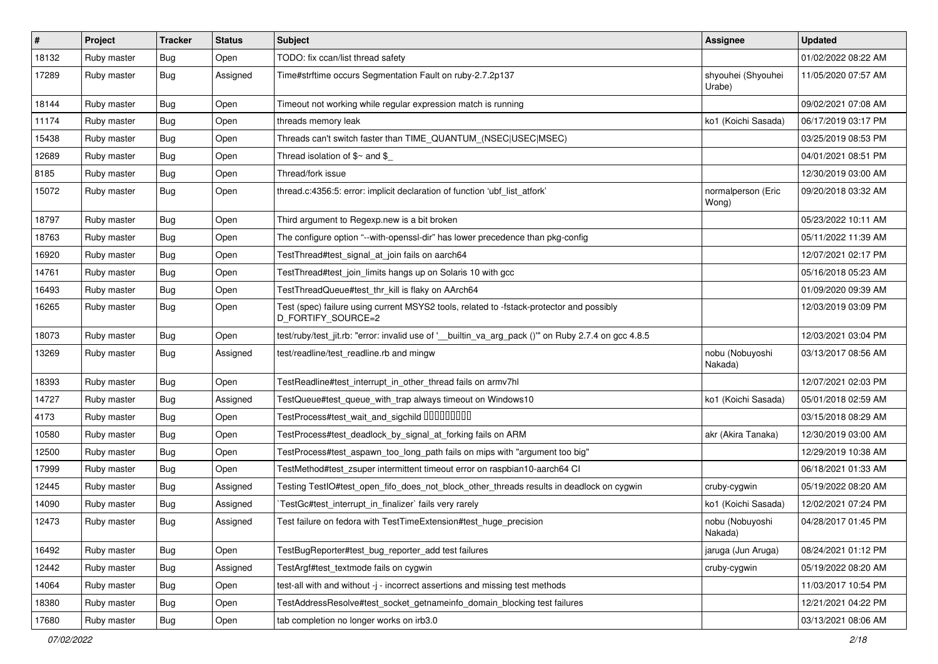| $\vert$ # | Project     | <b>Tracker</b> | <b>Status</b> | Subject                                                                                                        | Assignee                     | <b>Updated</b>      |
|-----------|-------------|----------------|---------------|----------------------------------------------------------------------------------------------------------------|------------------------------|---------------------|
| 18132     | Ruby master | <b>Bug</b>     | Open          | TODO: fix ccan/list thread safety                                                                              |                              | 01/02/2022 08:22 AM |
| 17289     | Ruby master | <b>Bug</b>     | Assigned      | Time#strftime occurs Segmentation Fault on ruby-2.7.2p137                                                      | shyouhei (Shyouhei<br>Urabe) | 11/05/2020 07:57 AM |
| 18144     | Ruby master | <b>Bug</b>     | Open          | Timeout not working while regular expression match is running                                                  |                              | 09/02/2021 07:08 AM |
| 11174     | Ruby master | <b>Bug</b>     | Open          | threads memory leak                                                                                            | ko1 (Koichi Sasada)          | 06/17/2019 03:17 PM |
| 15438     | Ruby master | <b>Bug</b>     | Open          | Threads can't switch faster than TIME_QUANTUM_(NSEC USEC MSEC)                                                 |                              | 03/25/2019 08:53 PM |
| 12689     | Ruby master | <b>Bug</b>     | Open          | Thread isolation of $\frac{6}{3}$ and \$                                                                       |                              | 04/01/2021 08:51 PM |
| 8185      | Ruby master | <b>Bug</b>     | Open          | Thread/fork issue                                                                                              |                              | 12/30/2019 03:00 AM |
| 15072     | Ruby master | <b>Bug</b>     | Open          | thread.c:4356:5: error: implicit declaration of function 'ubf_list_atfork'                                     | normalperson (Eric<br>Wong)  | 09/20/2018 03:32 AM |
| 18797     | Ruby master | <b>Bug</b>     | Open          | Third argument to Regexp.new is a bit broken                                                                   |                              | 05/23/2022 10:11 AM |
| 18763     | Ruby master | <b>Bug</b>     | Open          | The configure option "--with-openssl-dir" has lower precedence than pkg-config                                 |                              | 05/11/2022 11:39 AM |
| 16920     | Ruby master | <b>Bug</b>     | Open          | TestThread#test_signal_at_join fails on aarch64                                                                |                              | 12/07/2021 02:17 PM |
| 14761     | Ruby master | Bug            | Open          | TestThread#test_join_limits hangs up on Solaris 10 with gcc                                                    |                              | 05/16/2018 05:23 AM |
| 16493     | Ruby master | <b>Bug</b>     | Open          | TestThreadQueue#test_thr_kill is flaky on AArch64                                                              |                              | 01/09/2020 09:39 AM |
| 16265     | Ruby master | <b>Bug</b>     | Open          | Test (spec) failure using current MSYS2 tools, related to -fstack-protector and possibly<br>D_FORTIFY_SOURCE=2 |                              | 12/03/2019 03:09 PM |
| 18073     | Ruby master | Bug            | Open          | test/ruby/test_jit.rb: "error: invalid use of '__builtin_va_arg_pack ()" on Ruby 2.7.4 on gcc 4.8.5            |                              | 12/03/2021 03:04 PM |
| 13269     | Ruby master | Bug            | Assigned      | test/readline/test_readline.rb and mingw                                                                       | nobu (Nobuyoshi<br>Nakada)   | 03/13/2017 08:56 AM |
| 18393     | Ruby master | <b>Bug</b>     | Open          | TestReadline#test_interrupt_in_other_thread fails on armv7hl                                                   |                              | 12/07/2021 02:03 PM |
| 14727     | Ruby master | Bug            | Assigned      | TestQueue#test_queue_with_trap always timeout on Windows10                                                     | ko1 (Koichi Sasada)          | 05/01/2018 02:59 AM |
| 4173      | Ruby master | <b>Bug</b>     | Open          | TestProcess#test_wait_and_sigchild DDDDDDDD                                                                    |                              | 03/15/2018 08:29 AM |
| 10580     | Ruby master | Bug            | Open          | TestProcess#test_deadlock_by_signal_at_forking fails on ARM                                                    | akr (Akira Tanaka)           | 12/30/2019 03:00 AM |
| 12500     | Ruby master | Bug            | Open          | TestProcess#test_aspawn_too_long_path fails on mips with "argument too big"                                    |                              | 12/29/2019 10:38 AM |
| 17999     | Ruby master | <b>Bug</b>     | Open          | TestMethod#test_zsuper intermittent timeout error on raspbian10-aarch64 CI                                     |                              | 06/18/2021 01:33 AM |
| 12445     | Ruby master | Bug            | Assigned      | Testing TestIO#test_open_fifo_does_not_block_other_threads results in deadlock on cygwin                       | cruby-cygwin                 | 05/19/2022 08:20 AM |
| 14090     | Ruby master | Bug            | Assigned      | TestGc#test_interrupt_in_finalizer`fails very rarely                                                           | ko1 (Koichi Sasada)          | 12/02/2021 07:24 PM |
| 12473     | Ruby master | <b>Bug</b>     | Assigned      | Test failure on fedora with TestTimeExtension#test_huge_precision                                              | nobu (Nobuyoshi<br>Nakada)   | 04/28/2017 01:45 PM |
| 16492     | Ruby master | Bug            | Open          | TestBugReporter#test_bug_reporter_add test failures                                                            | jaruga (Jun Aruga)           | 08/24/2021 01:12 PM |
| 12442     | Ruby master | <b>Bug</b>     | Assigned      | TestArgf#test_textmode fails on cygwin                                                                         | cruby-cygwin                 | 05/19/2022 08:20 AM |
| 14064     | Ruby master | Bug            | Open          | test-all with and without -j - incorrect assertions and missing test methods                                   |                              | 11/03/2017 10:54 PM |
| 18380     | Ruby master | Bug            | Open          | TestAddressResolve#test socket getnameinfo domain blocking test failures                                       |                              | 12/21/2021 04:22 PM |
| 17680     | Ruby master | <b>Bug</b>     | Open          | tab completion no longer works on irb3.0                                                                       |                              | 03/13/2021 08:06 AM |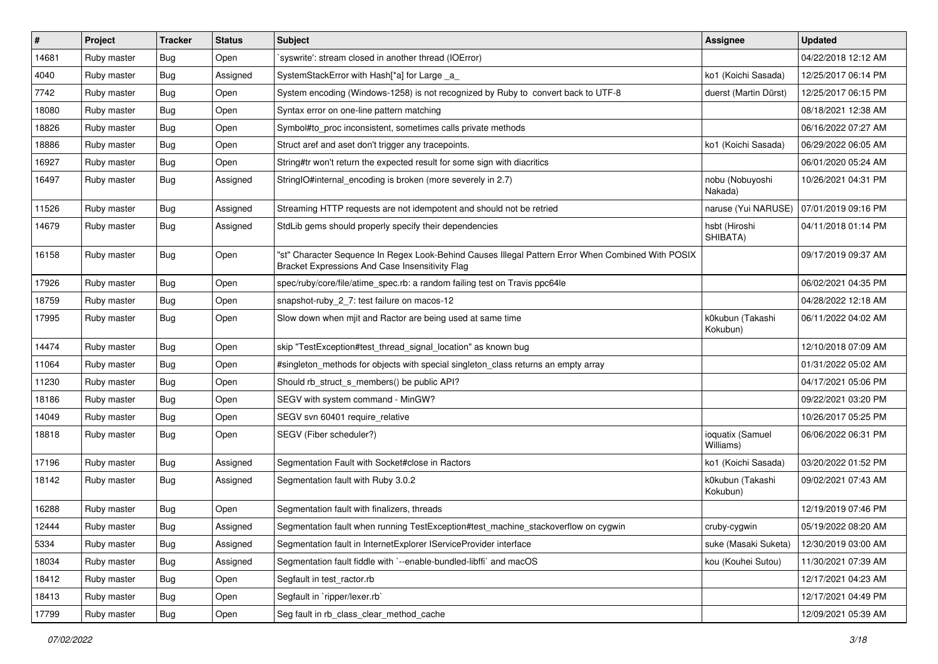| $\vert$ # | Project     | <b>Tracker</b> | <b>Status</b> | Subject                                                                                                                                               | <b>Assignee</b>               | <b>Updated</b>      |
|-----------|-------------|----------------|---------------|-------------------------------------------------------------------------------------------------------------------------------------------------------|-------------------------------|---------------------|
| 14681     | Ruby master | <b>Bug</b>     | Open          | syswrite': stream closed in another thread (IOError)                                                                                                  |                               | 04/22/2018 12:12 AM |
| 4040      | Ruby master | <b>Bug</b>     | Assigned      | SystemStackError with Hash[*a] for Large _a_                                                                                                          | ko1 (Koichi Sasada)           | 12/25/2017 06:14 PM |
| 7742      | Ruby master | Bug            | Open          | System encoding (Windows-1258) is not recognized by Ruby to convert back to UTF-8                                                                     | duerst (Martin Dürst)         | 12/25/2017 06:15 PM |
| 18080     | Ruby master | <b>Bug</b>     | Open          | Syntax error on one-line pattern matching                                                                                                             |                               | 08/18/2021 12:38 AM |
| 18826     | Ruby master | Bug            | Open          | Symbol#to_proc inconsistent, sometimes calls private methods                                                                                          |                               | 06/16/2022 07:27 AM |
| 18886     | Ruby master | Bug            | Open          | Struct aref and aset don't trigger any tracepoints.                                                                                                   | ko1 (Koichi Sasada)           | 06/29/2022 06:05 AM |
| 16927     | Ruby master | <b>Bug</b>     | Open          | String#tr won't return the expected result for some sign with diacritics                                                                              |                               | 06/01/2020 05:24 AM |
| 16497     | Ruby master | <b>Bug</b>     | Assigned      | StringIO#internal_encoding is broken (more severely in 2.7)                                                                                           | nobu (Nobuyoshi<br>Nakada)    | 10/26/2021 04:31 PM |
| 11526     | Ruby master | <b>Bug</b>     | Assigned      | Streaming HTTP requests are not idempotent and should not be retried                                                                                  | naruse (Yui NARUSE)           | 07/01/2019 09:16 PM |
| 14679     | Ruby master | Bug            | Assigned      | StdLib gems should properly specify their dependencies                                                                                                | hsbt (Hiroshi<br>SHIBATA)     | 04/11/2018 01:14 PM |
| 16158     | Ruby master | Bug            | Open          | 'st" Character Sequence In Regex Look-Behind Causes Illegal Pattern Error When Combined With POSIX<br>Bracket Expressions And Case Insensitivity Flag |                               | 09/17/2019 09:37 AM |
| 17926     | Ruby master | <b>Bug</b>     | Open          | spec/ruby/core/file/atime_spec.rb: a random failing test on Travis ppc64le                                                                            |                               | 06/02/2021 04:35 PM |
| 18759     | Ruby master | <b>Bug</b>     | Open          | snapshot-ruby_2_7: test failure on macos-12                                                                                                           |                               | 04/28/2022 12:18 AM |
| 17995     | Ruby master | Bug            | Open          | Slow down when mjit and Ractor are being used at same time                                                                                            | k0kubun (Takashi<br>Kokubun)  | 06/11/2022 04:02 AM |
| 14474     | Ruby master | <b>Bug</b>     | Open          | skip "TestException#test thread signal location" as known bug                                                                                         |                               | 12/10/2018 07:09 AM |
| 11064     | Ruby master | Bug            | Open          | #singleton_methods for objects with special singleton_class returns an empty array                                                                    |                               | 01/31/2022 05:02 AM |
| 11230     | Ruby master | <b>Bug</b>     | Open          | Should rb_struct_s_members() be public API?                                                                                                           |                               | 04/17/2021 05:06 PM |
| 18186     | Ruby master | Bug            | Open          | SEGV with system command - MinGW?                                                                                                                     |                               | 09/22/2021 03:20 PM |
| 14049     | Ruby master | <b>Bug</b>     | Open          | SEGV svn 60401 require relative                                                                                                                       |                               | 10/26/2017 05:25 PM |
| 18818     | Ruby master | <b>Bug</b>     | Open          | SEGV (Fiber scheduler?)                                                                                                                               | ioquatix (Samuel<br>Williams) | 06/06/2022 06:31 PM |
| 17196     | Ruby master | <b>Bug</b>     | Assigned      | Segmentation Fault with Socket#close in Ractors                                                                                                       | ko1 (Koichi Sasada)           | 03/20/2022 01:52 PM |
| 18142     | Ruby master | Bug            | Assigned      | Segmentation fault with Ruby 3.0.2                                                                                                                    | k0kubun (Takashi<br>Kokubun)  | 09/02/2021 07:43 AM |
| 16288     | Ruby master | <b>Bug</b>     | Open          | Segmentation fault with finalizers, threads                                                                                                           |                               | 12/19/2019 07:46 PM |
| 12444     | Ruby master | Bug            | Assigned      | Segmentation fault when running TestException#test_machine_stackoverflow on cygwin                                                                    | cruby-cygwin                  | 05/19/2022 08:20 AM |
| 5334      | Ruby master | Bug            | Assigned      | Segmentation fault in InternetExplorer IServiceProvider interface                                                                                     | suke (Masaki Suketa)          | 12/30/2019 03:00 AM |
| 18034     | Ruby master | <b>Bug</b>     | Assigned      | Segmentation fault fiddle with `--enable-bundled-libffi` and macOS                                                                                    | kou (Kouhei Sutou)            | 11/30/2021 07:39 AM |
| 18412     | Ruby master | <b>Bug</b>     | Open          | Segfault in test_ractor.rb                                                                                                                            |                               | 12/17/2021 04:23 AM |
| 18413     | Ruby master | <b>Bug</b>     | Open          | Segfault in 'ripper/lexer.rb'                                                                                                                         |                               | 12/17/2021 04:49 PM |
| 17799     | Ruby master | <b>Bug</b>     | Open          | Seg fault in rb_class_clear_method_cache                                                                                                              |                               | 12/09/2021 05:39 AM |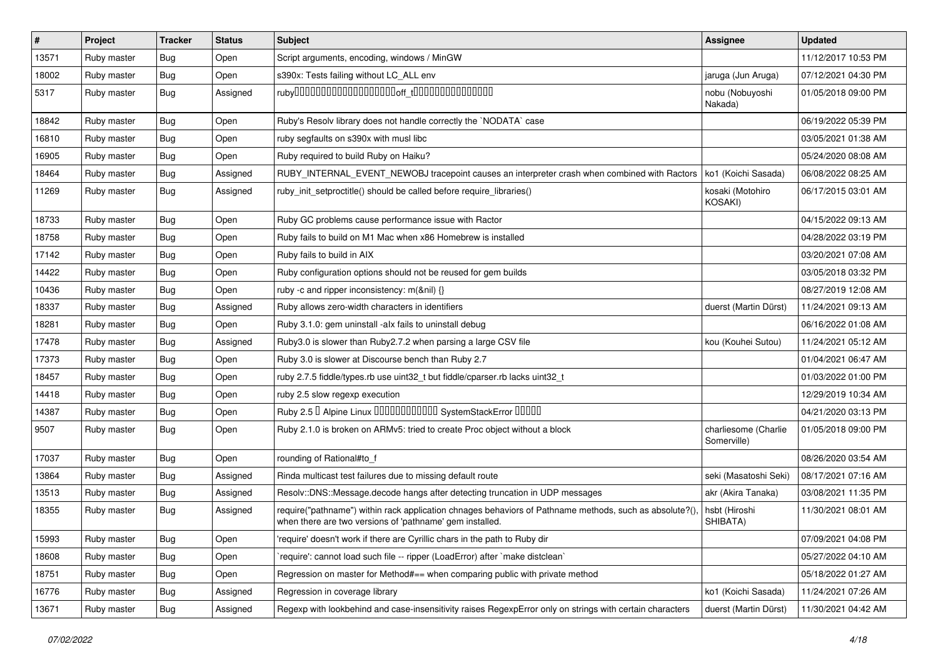| $\sharp$ | Project     | <b>Tracker</b> | <b>Status</b> | Subject                                                                                                                                                            | <b>Assignee</b>                     | <b>Updated</b>      |
|----------|-------------|----------------|---------------|--------------------------------------------------------------------------------------------------------------------------------------------------------------------|-------------------------------------|---------------------|
| 13571    | Ruby master | Bug            | Open          | Script arguments, encoding, windows / MinGW                                                                                                                        |                                     | 11/12/2017 10:53 PM |
| 18002    | Ruby master | Bug            | Open          | s390x: Tests failing without LC_ALL env                                                                                                                            | jaruga (Jun Aruga)                  | 07/12/2021 04:30 PM |
| 5317     | Ruby master | Bug            | Assigned      |                                                                                                                                                                    | nobu (Nobuyoshi<br>Nakada)          | 01/05/2018 09:00 PM |
| 18842    | Ruby master | <b>Bug</b>     | Open          | Ruby's Resolv library does not handle correctly the `NODATA` case                                                                                                  |                                     | 06/19/2022 05:39 PM |
| 16810    | Ruby master | Bug            | Open          | ruby segfaults on s390x with musl libc                                                                                                                             |                                     | 03/05/2021 01:38 AM |
| 16905    | Ruby master | <b>Bug</b>     | Open          | Ruby required to build Ruby on Haiku?                                                                                                                              |                                     | 05/24/2020 08:08 AM |
| 18464    | Ruby master | Bug            | Assigned      | RUBY_INTERNAL_EVENT_NEWOBJ tracepoint causes an interpreter crash when combined with Ractors                                                                       | ko1 (Koichi Sasada)                 | 06/08/2022 08:25 AM |
| 11269    | Ruby master | Bug            | Assigned      | ruby_init_setproctitle() should be called before require_libraries()                                                                                               | kosaki (Motohiro<br>KOSAKI)         | 06/17/2015 03:01 AM |
| 18733    | Ruby master | <b>Bug</b>     | Open          | Ruby GC problems cause performance issue with Ractor                                                                                                               |                                     | 04/15/2022 09:13 AM |
| 18758    | Ruby master | <b>Bug</b>     | Open          | Ruby fails to build on M1 Mac when x86 Homebrew is installed                                                                                                       |                                     | 04/28/2022 03:19 PM |
| 17142    | Ruby master | <b>Bug</b>     | Open          | Ruby fails to build in AIX                                                                                                                                         |                                     | 03/20/2021 07:08 AM |
| 14422    | Ruby master | Bug            | Open          | Ruby configuration options should not be reused for gem builds                                                                                                     |                                     | 03/05/2018 03:32 PM |
| 10436    | Ruby master | <b>Bug</b>     | Open          | ruby -c and ripper inconsistency: m(&nil) {}                                                                                                                       |                                     | 08/27/2019 12:08 AM |
| 18337    | Ruby master | Bug            | Assigned      | Ruby allows zero-width characters in identifiers                                                                                                                   | duerst (Martin Dürst)               | 11/24/2021 09:13 AM |
| 18281    | Ruby master | <b>Bug</b>     | Open          | Ruby 3.1.0: gem uninstall -alx fails to uninstall debug                                                                                                            |                                     | 06/16/2022 01:08 AM |
| 17478    | Ruby master | <b>Bug</b>     | Assigned      | Ruby3.0 is slower than Ruby2.7.2 when parsing a large CSV file                                                                                                     | kou (Kouhei Sutou)                  | 11/24/2021 05:12 AM |
| 17373    | Ruby master | <b>Bug</b>     | Open          | Ruby 3.0 is slower at Discourse bench than Ruby 2.7                                                                                                                |                                     | 01/04/2021 06:47 AM |
| 18457    | Ruby master | <b>Bug</b>     | Open          | ruby 2.7.5 fiddle/types.rb use uint32_t but fiddle/cparser.rb lacks uint32_t                                                                                       |                                     | 01/03/2022 01:00 PM |
| 14418    | Ruby master | <b>Bug</b>     | Open          | ruby 2.5 slow regexp execution                                                                                                                                     |                                     | 12/29/2019 10:34 AM |
| 14387    | Ruby master | Bug            | Open          | Ruby 2.5 <sup>D</sup> Alpine Linux 000000000000 SystemStackError 00000                                                                                             |                                     | 04/21/2020 03:13 PM |
| 9507     | Ruby master | <b>Bug</b>     | Open          | Ruby 2.1.0 is broken on ARMv5: tried to create Proc object without a block                                                                                         | charliesome (Charlie<br>Somerville) | 01/05/2018 09:00 PM |
| 17037    | Ruby master | <b>Bug</b>     | Open          | rounding of Rational#to_f                                                                                                                                          |                                     | 08/26/2020 03:54 AM |
| 13864    | Ruby master | <b>Bug</b>     | Assigned      | Rinda multicast test failures due to missing default route                                                                                                         | seki (Masatoshi Seki)               | 08/17/2021 07:16 AM |
| 13513    | Ruby master | Bug            | Assigned      | Resolv::DNS::Message.decode hangs after detecting truncation in UDP messages                                                                                       | akr (Akira Tanaka)                  | 03/08/2021 11:35 PM |
| 18355    | Ruby master | <b>Bug</b>     | Assigned      | require("pathname") within rack application chnages behaviors of Pathname methods, such as absolute?()<br>when there are two versions of 'pathname' gem installed. | hsbt (Hiroshi<br>SHIBATA)           | 11/30/2021 08:01 AM |
| 15993    | Ruby master | Bug            | Open          | 'require' doesn't work if there are Cyrillic chars in the path to Ruby dir                                                                                         |                                     | 07/09/2021 04:08 PM |
| 18608    | Ruby master | <b>Bug</b>     | Open          | 'require': cannot load such file -- ripper (LoadError) after 'make distclean'                                                                                      |                                     | 05/27/2022 04:10 AM |
| 18751    | Ruby master | <b>Bug</b>     | Open          | Regression on master for Method#== when comparing public with private method                                                                                       |                                     | 05/18/2022 01:27 AM |
| 16776    | Ruby master | <b>Bug</b>     | Assigned      | Regression in coverage library                                                                                                                                     | ko1 (Koichi Sasada)                 | 11/24/2021 07:26 AM |
| 13671    | Ruby master | <b>Bug</b>     | Assigned      | Regexp with lookbehind and case-insensitivity raises RegexpError only on strings with certain characters                                                           | duerst (Martin Dürst)               | 11/30/2021 04:42 AM |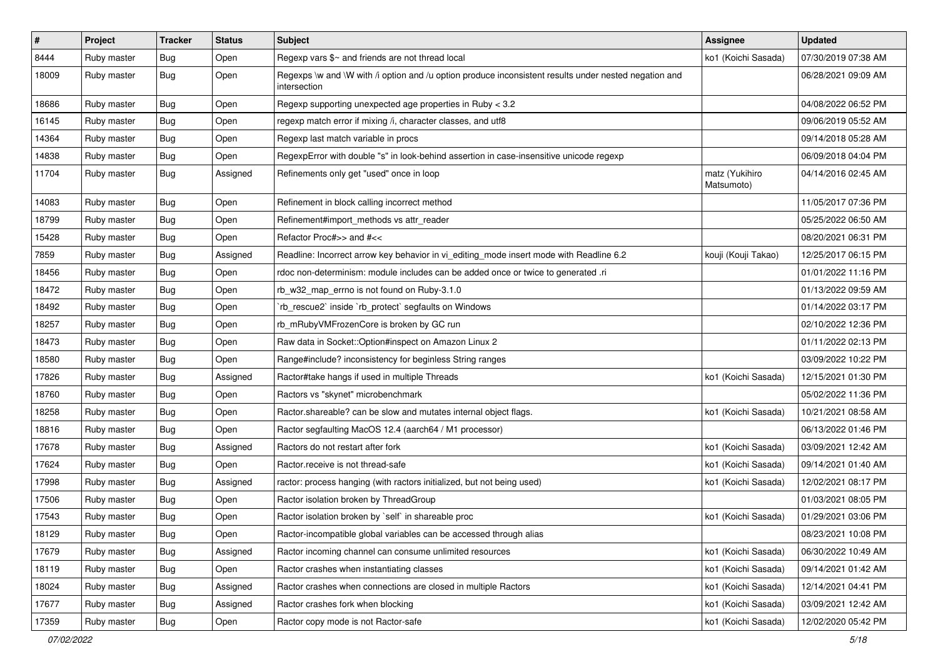| $\sharp$ | Project     | <b>Tracker</b> | <b>Status</b> | <b>Subject</b>                                                                                                        | Assignee                     | Updated             |
|----------|-------------|----------------|---------------|-----------------------------------------------------------------------------------------------------------------------|------------------------------|---------------------|
| 8444     | Ruby master | Bug            | Open          | Regexp vars $\frac{6}{5}$ and friends are not thread local                                                            | ko1 (Koichi Sasada)          | 07/30/2019 07:38 AM |
| 18009    | Ruby master | Bug            | Open          | Regexps \w and \W with /i option and /u option produce inconsistent results under nested negation and<br>intersection |                              | 06/28/2021 09:09 AM |
| 18686    | Ruby master | Bug            | Open          | Regexp supporting unexpected age properties in Ruby < 3.2                                                             |                              | 04/08/2022 06:52 PM |
| 16145    | Ruby master | Bug            | Open          | regexp match error if mixing /i, character classes, and utf8                                                          |                              | 09/06/2019 05:52 AM |
| 14364    | Ruby master | Bug            | Open          | Regexp last match variable in procs                                                                                   |                              | 09/14/2018 05:28 AM |
| 14838    | Ruby master | Bug            | Open          | RegexpError with double "s" in look-behind assertion in case-insensitive unicode regexp                               |                              | 06/09/2018 04:04 PM |
| 11704    | Ruby master | <b>Bug</b>     | Assigned      | Refinements only get "used" once in loop                                                                              | matz (Yukihiro<br>Matsumoto) | 04/14/2016 02:45 AM |
| 14083    | Ruby master | Bug            | Open          | Refinement in block calling incorrect method                                                                          |                              | 11/05/2017 07:36 PM |
| 18799    | Ruby master | Bug            | Open          | Refinement#import_methods vs attr_reader                                                                              |                              | 05/25/2022 06:50 AM |
| 15428    | Ruby master | <b>Bug</b>     | Open          | Refactor Proc#>> and #<<                                                                                              |                              | 08/20/2021 06:31 PM |
| 7859     | Ruby master | <b>Bug</b>     | Assigned      | Readline: Incorrect arrow key behavior in vi_editing_mode insert mode with Readline 6.2                               | kouji (Kouji Takao)          | 12/25/2017 06:15 PM |
| 18456    | Ruby master | Bug            | Open          | rdoc non-determinism: module includes can be added once or twice to generated .ri                                     |                              | 01/01/2022 11:16 PM |
| 18472    | Ruby master | Bug            | Open          | rb_w32_map_errno is not found on Ruby-3.1.0                                                                           |                              | 01/13/2022 09:59 AM |
| 18492    | Ruby master | Bug            | Open          | 'rb_rescue2' inside 'rb_protect' segfaults on Windows                                                                 |                              | 01/14/2022 03:17 PM |
| 18257    | Ruby master | Bug            | Open          | rb_mRubyVMFrozenCore is broken by GC run                                                                              |                              | 02/10/2022 12:36 PM |
| 18473    | Ruby master | Bug            | Open          | Raw data in Socket:: Option#inspect on Amazon Linux 2                                                                 |                              | 01/11/2022 02:13 PM |
| 18580    | Ruby master | Bug            | Open          | Range#include? inconsistency for beginless String ranges                                                              |                              | 03/09/2022 10:22 PM |
| 17826    | Ruby master | Bug            | Assigned      | Ractor#take hangs if used in multiple Threads                                                                         | ko1 (Koichi Sasada)          | 12/15/2021 01:30 PM |
| 18760    | Ruby master | <b>Bug</b>     | Open          | Ractors vs "skynet" microbenchmark                                                                                    |                              | 05/02/2022 11:36 PM |
| 18258    | Ruby master | Bug            | Open          | Ractor shareable? can be slow and mutates internal object flags.                                                      | ko1 (Koichi Sasada)          | 10/21/2021 08:58 AM |
| 18816    | Ruby master | Bug            | Open          | Ractor segfaulting MacOS 12.4 (aarch64 / M1 processor)                                                                |                              | 06/13/2022 01:46 PM |
| 17678    | Ruby master | Bug            | Assigned      | Ractors do not restart after fork                                                                                     | ko1 (Koichi Sasada)          | 03/09/2021 12:42 AM |
| 17624    | Ruby master | <b>Bug</b>     | Open          | Ractor.receive is not thread-safe                                                                                     | ko1 (Koichi Sasada)          | 09/14/2021 01:40 AM |
| 17998    | Ruby master | <b>Bug</b>     | Assigned      | ractor: process hanging (with ractors initialized, but not being used)                                                | ko1 (Koichi Sasada)          | 12/02/2021 08:17 PM |
| 17506    | Ruby master | Bug            | Open          | Ractor isolation broken by ThreadGroup                                                                                |                              | 01/03/2021 08:05 PM |
| 17543    | Ruby master | <b>Bug</b>     | Open          | Ractor isolation broken by `self` in shareable proc                                                                   | ko1 (Koichi Sasada)          | 01/29/2021 03:06 PM |
| 18129    | Ruby master | Bug            | Open          | Ractor-incompatible global variables can be accessed through alias                                                    |                              | 08/23/2021 10:08 PM |
| 17679    | Ruby master | <b>Bug</b>     | Assigned      | Ractor incoming channel can consume unlimited resources                                                               | ko1 (Koichi Sasada)          | 06/30/2022 10:49 AM |
| 18119    | Ruby master | <b>Bug</b>     | Open          | Ractor crashes when instantiating classes                                                                             | ko1 (Koichi Sasada)          | 09/14/2021 01:42 AM |
| 18024    | Ruby master | <b>Bug</b>     | Assigned      | Ractor crashes when connections are closed in multiple Ractors                                                        | ko1 (Koichi Sasada)          | 12/14/2021 04:41 PM |
| 17677    | Ruby master | <b>Bug</b>     | Assigned      | Ractor crashes fork when blocking                                                                                     | ko1 (Koichi Sasada)          | 03/09/2021 12:42 AM |
| 17359    | Ruby master | <b>Bug</b>     | Open          | Ractor copy mode is not Ractor-safe                                                                                   | ko1 (Koichi Sasada)          | 12/02/2020 05:42 PM |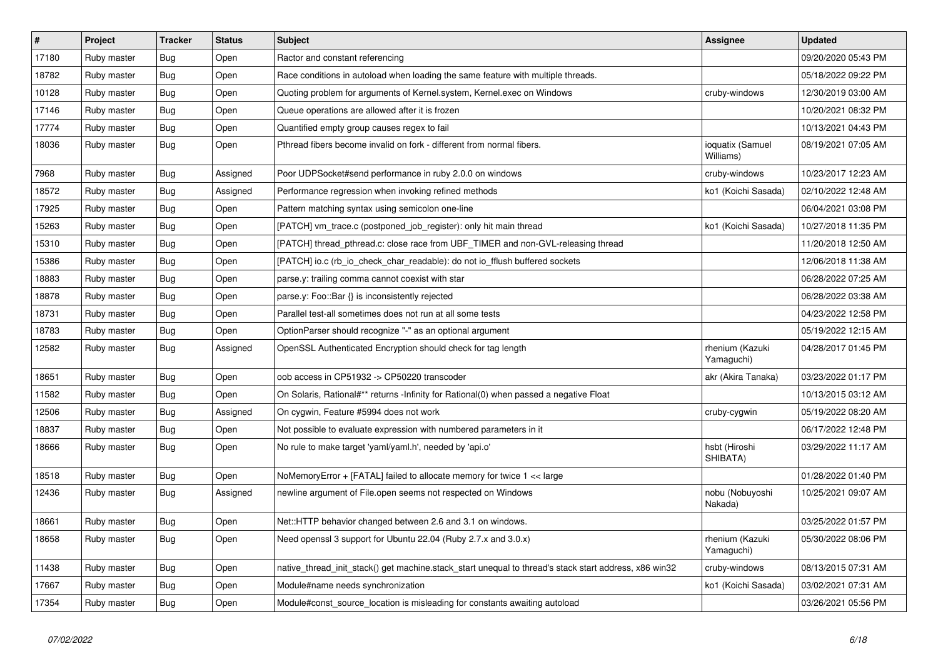| #     | <b>Project</b> | <b>Tracker</b> | <b>Status</b> | <b>Subject</b>                                                                                        | <b>Assignee</b>               | <b>Updated</b>      |
|-------|----------------|----------------|---------------|-------------------------------------------------------------------------------------------------------|-------------------------------|---------------------|
| 17180 | Ruby master    | Bug            | Open          | Ractor and constant referencing                                                                       |                               | 09/20/2020 05:43 PM |
| 18782 | Ruby master    | <b>Bug</b>     | Open          | Race conditions in autoload when loading the same feature with multiple threads.                      |                               | 05/18/2022 09:22 PM |
| 10128 | Ruby master    | <b>Bug</b>     | Open          | Quoting problem for arguments of Kernel.system, Kernel.exec on Windows                                | cruby-windows                 | 12/30/2019 03:00 AM |
| 17146 | Ruby master    | <b>Bug</b>     | Open          | Queue operations are allowed after it is frozen                                                       |                               | 10/20/2021 08:32 PM |
| 17774 | Ruby master    | Bug            | Open          | Quantified empty group causes regex to fail                                                           |                               | 10/13/2021 04:43 PM |
| 18036 | Ruby master    | <b>Bug</b>     | Open          | Pthread fibers become invalid on fork - different from normal fibers.                                 | ioquatix (Samuel<br>Williams) | 08/19/2021 07:05 AM |
| 7968  | Ruby master    | Bug            | Assigned      | Poor UDPS ocket#send performance in ruby 2.0.0 on windows                                             | cruby-windows                 | 10/23/2017 12:23 AM |
| 18572 | Ruby master    | Bug            | Assigned      | Performance regression when invoking refined methods                                                  | ko1 (Koichi Sasada)           | 02/10/2022 12:48 AM |
| 17925 | Ruby master    | <b>Bug</b>     | Open          | Pattern matching syntax using semicolon one-line                                                      |                               | 06/04/2021 03:08 PM |
| 15263 | Ruby master    | <b>Bug</b>     | Open          | [PATCH] vm_trace.c (postponed_job_register): only hit main thread                                     | ko1 (Koichi Sasada)           | 10/27/2018 11:35 PM |
| 15310 | Ruby master    | <b>Bug</b>     | Open          | [PATCH] thread pthread.c: close race from UBF TIMER and non-GVL-releasing thread                      |                               | 11/20/2018 12:50 AM |
| 15386 | Ruby master    | <b>Bug</b>     | Open          | [PATCH] io.c (rb_io_check_char_readable): do not io_fflush buffered sockets                           |                               | 12/06/2018 11:38 AM |
| 18883 | Ruby master    | <b>Bug</b>     | Open          | parse.y: trailing comma cannot coexist with star                                                      |                               | 06/28/2022 07:25 AM |
| 18878 | Ruby master    | <b>Bug</b>     | Open          | parse.y: Foo::Bar {} is inconsistently rejected                                                       |                               | 06/28/2022 03:38 AM |
| 18731 | Ruby master    | Bug            | Open          | Parallel test-all sometimes does not run at all some tests                                            |                               | 04/23/2022 12:58 PM |
| 18783 | Ruby master    | <b>Bug</b>     | Open          | OptionParser should recognize "-" as an optional argument                                             |                               | 05/19/2022 12:15 AM |
| 12582 | Ruby master    | <b>Bug</b>     | Assigned      | OpenSSL Authenticated Encryption should check for tag length                                          | rhenium (Kazuki<br>Yamaguchi) | 04/28/2017 01:45 PM |
| 18651 | Ruby master    | Bug            | Open          | oob access in CP51932 -> CP50220 transcoder                                                           | akr (Akira Tanaka)            | 03/23/2022 01:17 PM |
| 11582 | Ruby master    | <b>Bug</b>     | Open          | On Solaris, Rational#** returns -Infinity for Rational(0) when passed a negative Float                |                               | 10/13/2015 03:12 AM |
| 12506 | Ruby master    | <b>Bug</b>     | Assigned      | On cygwin, Feature #5994 does not work                                                                | cruby-cygwin                  | 05/19/2022 08:20 AM |
| 18837 | Ruby master    | Bug            | Open          | Not possible to evaluate expression with numbered parameters in it                                    |                               | 06/17/2022 12:48 PM |
| 18666 | Ruby master    | Bug            | Open          | No rule to make target 'yaml/yaml.h', needed by 'api.o'                                               | hsbt (Hiroshi<br>SHIBATA)     | 03/29/2022 11:17 AM |
| 18518 | Ruby master    | <b>Bug</b>     | Open          | NoMemoryError + [FATAL] failed to allocate memory for twice 1 << large                                |                               | 01/28/2022 01:40 PM |
| 12436 | Ruby master    | Bug            | Assigned      | newline argument of File.open seems not respected on Windows                                          | nobu (Nobuyoshi<br>Nakada)    | 10/25/2021 09:07 AM |
| 18661 | Ruby master    | <b>Bug</b>     | Open          | Net::HTTP behavior changed between 2.6 and 3.1 on windows.                                            |                               | 03/25/2022 01:57 PM |
| 18658 | Ruby master    | <b>Bug</b>     | Open          | Need openssl 3 support for Ubuntu 22.04 (Ruby 2.7.x and 3.0.x)                                        | rhenium (Kazuki<br>Yamaguchi) | 05/30/2022 08:06 PM |
| 11438 | Ruby master    | <b>Bug</b>     | Open          | native_thread_init_stack() get machine.stack_start unequal to thread's stack start address, x86 win32 | cruby-windows                 | 08/13/2015 07:31 AM |
| 17667 | Ruby master    | <b>Bug</b>     | Open          | Module#name needs synchronization                                                                     | ko1 (Koichi Sasada)           | 03/02/2021 07:31 AM |
| 17354 | Ruby master    | <b>Bug</b>     | Open          | Module#const source location is misleading for constants awaiting autoload                            |                               | 03/26/2021 05:56 PM |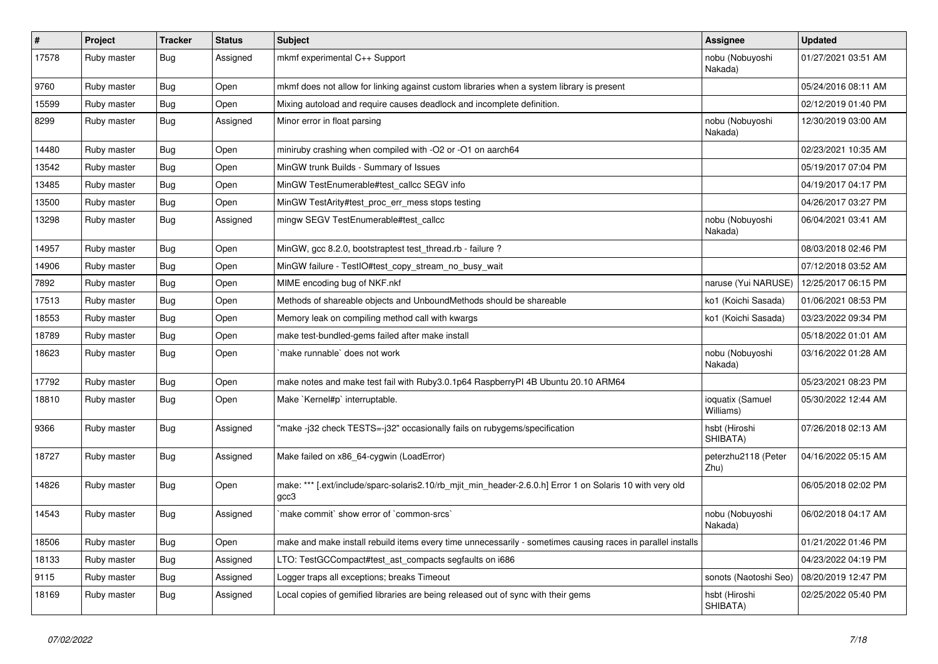| $\sharp$ | Project     | <b>Tracker</b> | <b>Status</b> | Subject                                                                                                           | Assignee                      | <b>Updated</b>      |
|----------|-------------|----------------|---------------|-------------------------------------------------------------------------------------------------------------------|-------------------------------|---------------------|
| 17578    | Ruby master | <b>Bug</b>     | Assigned      | mkmf experimental C++ Support                                                                                     | nobu (Nobuyoshi<br>Nakada)    | 01/27/2021 03:51 AM |
| 9760     | Ruby master | <b>Bug</b>     | Open          | mkmf does not allow for linking against custom libraries when a system library is present                         |                               | 05/24/2016 08:11 AM |
| 15599    | Ruby master | <b>Bug</b>     | Open          | Mixing autoload and require causes deadlock and incomplete definition.                                            |                               | 02/12/2019 01:40 PM |
| 8299     | Ruby master | <b>Bug</b>     | Assigned      | Minor error in float parsing                                                                                      | nobu (Nobuyoshi<br>Nakada)    | 12/30/2019 03:00 AM |
| 14480    | Ruby master | <b>Bug</b>     | Open          | miniruby crashing when compiled with -O2 or -O1 on aarch64                                                        |                               | 02/23/2021 10:35 AM |
| 13542    | Ruby master | <b>Bug</b>     | Open          | MinGW trunk Builds - Summary of Issues                                                                            |                               | 05/19/2017 07:04 PM |
| 13485    | Ruby master | <b>Bug</b>     | Open          | MinGW TestEnumerable#test callcc SEGV info                                                                        |                               | 04/19/2017 04:17 PM |
| 13500    | Ruby master | <b>Bug</b>     | Open          | MinGW TestArity#test_proc_err_mess stops testing                                                                  |                               | 04/26/2017 03:27 PM |
| 13298    | Ruby master | <b>Bug</b>     | Assigned      | mingw SEGV TestEnumerable#test_callcc                                                                             | nobu (Nobuyoshi<br>Nakada)    | 06/04/2021 03:41 AM |
| 14957    | Ruby master | <b>Bug</b>     | Open          | MinGW, gcc 8.2.0, bootstraptest test_thread.rb - failure ?                                                        |                               | 08/03/2018 02:46 PM |
| 14906    | Ruby master | Bug            | Open          | MinGW failure - TestIO#test_copy_stream_no_busy_wait                                                              |                               | 07/12/2018 03:52 AM |
| 7892     | Ruby master | <b>Bug</b>     | Open          | MIME encoding bug of NKF.nkf                                                                                      | naruse (Yui NARUSE)           | 12/25/2017 06:15 PM |
| 17513    | Ruby master | <b>Bug</b>     | Open          | Methods of shareable objects and UnboundMethods should be shareable                                               | ko1 (Koichi Sasada)           | 01/06/2021 08:53 PM |
| 18553    | Ruby master | Bug            | Open          | Memory leak on compiling method call with kwargs                                                                  | ko1 (Koichi Sasada)           | 03/23/2022 09:34 PM |
| 18789    | Ruby master | <b>Bug</b>     | Open          | make test-bundled-gems failed after make install                                                                  |                               | 05/18/2022 01:01 AM |
| 18623    | Ruby master | Bug            | Open          | make runnable' does not work                                                                                      | nobu (Nobuyoshi<br>Nakada)    | 03/16/2022 01:28 AM |
| 17792    | Ruby master | <b>Bug</b>     | Open          | make notes and make test fail with Ruby3.0.1p64 RaspberryPI 4B Ubuntu 20.10 ARM64                                 |                               | 05/23/2021 08:23 PM |
| 18810    | Ruby master | <b>Bug</b>     | Open          | Make `Kernel#p` interruptable.                                                                                    | ioquatix (Samuel<br>Williams) | 05/30/2022 12:44 AM |
| 9366     | Ruby master | <b>Bug</b>     | Assigned      | "make-j32 check TESTS=-j32" occasionally fails on rubygems/specification                                          | hsbt (Hiroshi<br>SHIBATA)     | 07/26/2018 02:13 AM |
| 18727    | Ruby master | <b>Bug</b>     | Assigned      | Make failed on x86_64-cygwin (LoadError)                                                                          | peterzhu2118 (Peter<br>Zhu)   | 04/16/2022 05:15 AM |
| 14826    | Ruby master | Bug            | Open          | make: *** [.ext/include/sparc-solaris2.10/rb_mjit_min_header-2.6.0.h] Error 1 on Solaris 10 with very old<br>gcc3 |                               | 06/05/2018 02:02 PM |
| 14543    | Ruby master | <b>Bug</b>     | Assigned      | 'make commit' show error of 'common-srcs'                                                                         | nobu (Nobuyoshi<br>Nakada)    | 06/02/2018 04:17 AM |
| 18506    | Ruby master | <b>Bug</b>     | Open          | make and make install rebuild items every time unnecessarily - sometimes causing races in parallel installs       |                               | 01/21/2022 01:46 PM |
| 18133    | Ruby master | <b>Bug</b>     | Assigned      | LTO: TestGCCompact#test_ast_compacts segfaults on i686                                                            |                               | 04/23/2022 04:19 PM |
| 9115     | Ruby master | <b>Bug</b>     | Assigned      | Logger traps all exceptions; breaks Timeout                                                                       | sonots (Naotoshi Seo)         | 08/20/2019 12:47 PM |
| 18169    | Ruby master | <b>Bug</b>     | Assigned      | Local copies of gemified libraries are being released out of sync with their gems                                 | hsbt (Hiroshi<br>SHIBATA)     | 02/25/2022 05:40 PM |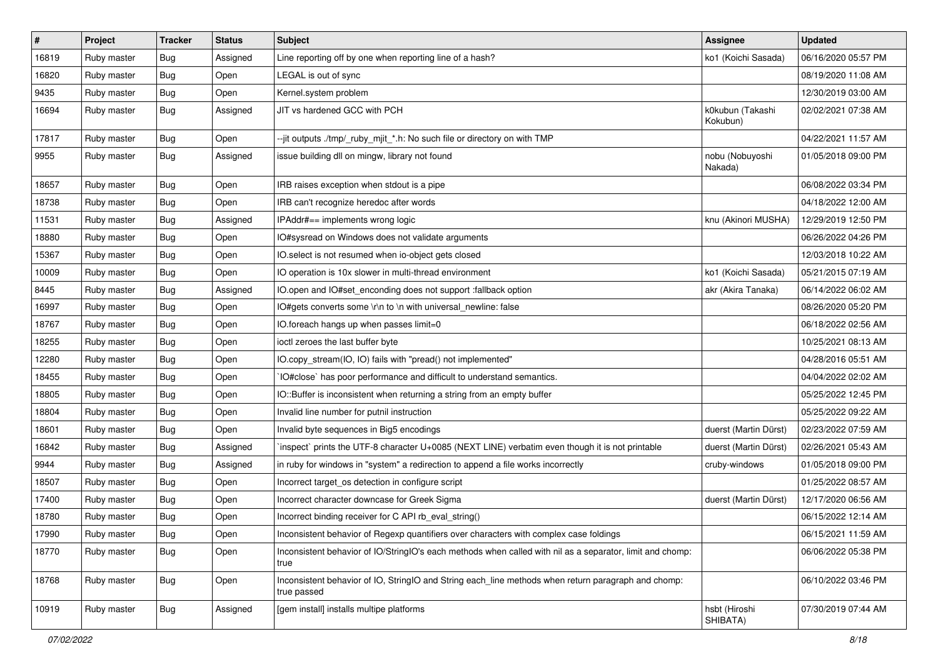| $\sharp$ | Project     | <b>Tracker</b> | <b>Status</b> | Subject                                                                                                            | Assignee                     | <b>Updated</b>      |
|----------|-------------|----------------|---------------|--------------------------------------------------------------------------------------------------------------------|------------------------------|---------------------|
| 16819    | Ruby master | Bug            | Assigned      | Line reporting off by one when reporting line of a hash?                                                           | ko1 (Koichi Sasada)          | 06/16/2020 05:57 PM |
| 16820    | Ruby master | <b>Bug</b>     | Open          | LEGAL is out of sync                                                                                               |                              | 08/19/2020 11:08 AM |
| 9435     | Ruby master | <b>Bug</b>     | Open          | Kernel.system problem                                                                                              |                              | 12/30/2019 03:00 AM |
| 16694    | Ruby master | Bug            | Assigned      | JIT vs hardened GCC with PCH                                                                                       | k0kubun (Takashi<br>Kokubun) | 02/02/2021 07:38 AM |
| 17817    | Ruby master | <b>Bug</b>     | Open          | --jit outputs ./tmp/_ruby_mjit_*.h: No such file or directory on with TMP                                          |                              | 04/22/2021 11:57 AM |
| 9955     | Ruby master | <b>Bug</b>     | Assigned      | issue building dll on mingw, library not found                                                                     | nobu (Nobuyoshi<br>Nakada)   | 01/05/2018 09:00 PM |
| 18657    | Ruby master | Bug            | Open          | IRB raises exception when stdout is a pipe                                                                         |                              | 06/08/2022 03:34 PM |
| 18738    | Ruby master | <b>Bug</b>     | Open          | IRB can't recognize heredoc after words                                                                            |                              | 04/18/2022 12:00 AM |
| 11531    | Ruby master | Bug            | Assigned      | IPAddr#== implements wrong logic                                                                                   | knu (Akinori MUSHA)          | 12/29/2019 12:50 PM |
| 18880    | Ruby master | <b>Bug</b>     | Open          | IO#sysread on Windows does not validate arguments                                                                  |                              | 06/26/2022 04:26 PM |
| 15367    | Ruby master | <b>Bug</b>     | Open          | IO.select is not resumed when io-object gets closed                                                                |                              | 12/03/2018 10:22 AM |
| 10009    | Ruby master | Bug            | Open          | IO operation is 10x slower in multi-thread environment                                                             | ko1 (Koichi Sasada)          | 05/21/2015 07:19 AM |
| 8445     | Ruby master | <b>Bug</b>     | Assigned      | IO.open and IO#set_enconding does not support :fallback option                                                     | akr (Akira Tanaka)           | 06/14/2022 06:02 AM |
| 16997    | Ruby master | Bug            | Open          | IO#gets converts some \r\n to \n with universal newline: false                                                     |                              | 08/26/2020 05:20 PM |
| 18767    | Ruby master | <b>Bug</b>     | Open          | IO.foreach hangs up when passes limit=0                                                                            |                              | 06/18/2022 02:56 AM |
| 18255    | Ruby master | <b>Bug</b>     | Open          | ioctl zeroes the last buffer byte                                                                                  |                              | 10/25/2021 08:13 AM |
| 12280    | Ruby master | <b>Bug</b>     | Open          | IO.copy_stream(IO, IO) fails with "pread() not implemented"                                                        |                              | 04/28/2016 05:51 AM |
| 18455    | Ruby master | <b>Bug</b>     | Open          | IO#close` has poor performance and difficult to understand semantics.                                              |                              | 04/04/2022 02:02 AM |
| 18805    | Ruby master | <b>Bug</b>     | Open          | IO::Buffer is inconsistent when returning a string from an empty buffer                                            |                              | 05/25/2022 12:45 PM |
| 18804    | Ruby master | Bug            | Open          | Invalid line number for putnil instruction                                                                         |                              | 05/25/2022 09:22 AM |
| 18601    | Ruby master | <b>Bug</b>     | Open          | Invalid byte sequences in Big5 encodings                                                                           | duerst (Martin Dürst)        | 02/23/2022 07:59 AM |
| 16842    | Ruby master | Bug            | Assigned      | inspect` prints the UTF-8 character U+0085 (NEXT LINE) verbatim even though it is not printable                    | duerst (Martin Dürst)        | 02/26/2021 05:43 AM |
| 9944     | Ruby master | <b>Bug</b>     | Assigned      | in ruby for windows in "system" a redirection to append a file works incorrectly                                   | cruby-windows                | 01/05/2018 09:00 PM |
| 18507    | Ruby master | <b>Bug</b>     | Open          | Incorrect target_os detection in configure script                                                                  |                              | 01/25/2022 08:57 AM |
| 17400    | Ruby master | Bug            | Open          | Incorrect character downcase for Greek Sigma                                                                       | duerst (Martin Dürst)        | 12/17/2020 06:56 AM |
| 18780    | Ruby master | Bug            | Open          | Incorrect binding receiver for C API rb_eval_string()                                                              |                              | 06/15/2022 12:14 AM |
| 17990    | Ruby master | <b>Bug</b>     | Open          | Inconsistent behavior of Regexp quantifiers over characters with complex case foldings                             |                              | 06/15/2021 11:59 AM |
| 18770    | Ruby master | <b>Bug</b>     | Open          | Inconsistent behavior of IO/StringIO's each methods when called with nil as a separator, limit and chomp:<br>true  |                              | 06/06/2022 05:38 PM |
| 18768    | Ruby master | <b>Bug</b>     | Open          | Inconsistent behavior of IO, StringIO and String each_line methods when return paragraph and chomp:<br>true passed |                              | 06/10/2022 03:46 PM |
| 10919    | Ruby master | <b>Bug</b>     | Assigned      | [gem install] installs multipe platforms                                                                           | hsbt (Hiroshi<br>SHIBATA)    | 07/30/2019 07:44 AM |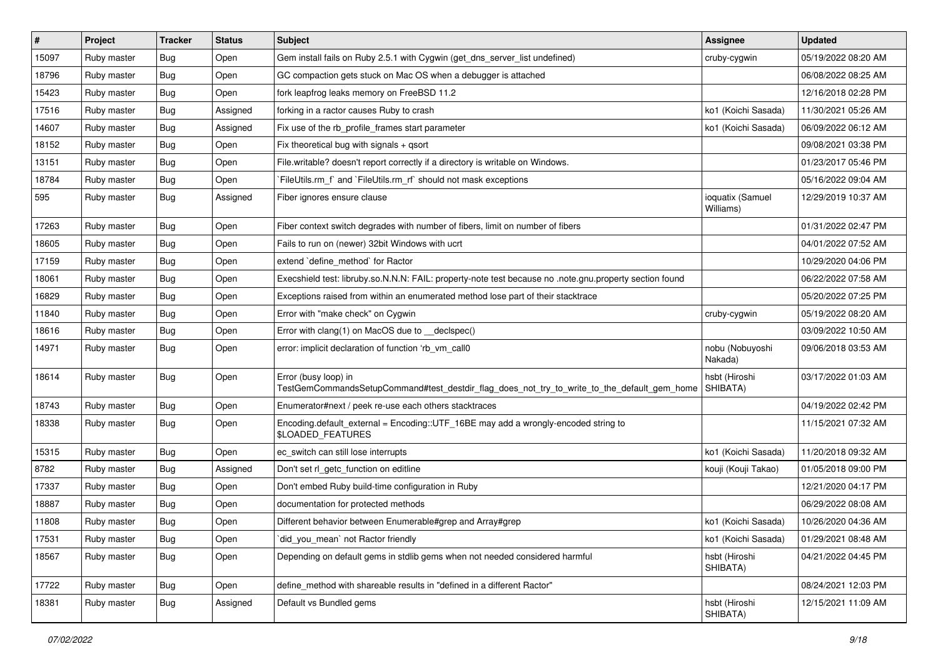| $\vert$ # | Project     | <b>Tracker</b> | <b>Status</b> | Subject                                                                                                             | <b>Assignee</b>               | <b>Updated</b>      |
|-----------|-------------|----------------|---------------|---------------------------------------------------------------------------------------------------------------------|-------------------------------|---------------------|
| 15097     | Ruby master | <b>Bug</b>     | Open          | Gem install fails on Ruby 2.5.1 with Cygwin (get_dns_server_list undefined)                                         | cruby-cygwin                  | 05/19/2022 08:20 AM |
| 18796     | Ruby master | <b>Bug</b>     | Open          | GC compaction gets stuck on Mac OS when a debugger is attached                                                      |                               | 06/08/2022 08:25 AM |
| 15423     | Ruby master | <b>Bug</b>     | Open          | fork leapfrog leaks memory on FreeBSD 11.2                                                                          |                               | 12/16/2018 02:28 PM |
| 17516     | Ruby master | <b>Bug</b>     | Assigned      | forking in a ractor causes Ruby to crash                                                                            | ko1 (Koichi Sasada)           | 11/30/2021 05:26 AM |
| 14607     | Ruby master | <b>Bug</b>     | Assigned      | Fix use of the rb_profile_frames start parameter                                                                    | ko1 (Koichi Sasada)           | 06/09/2022 06:12 AM |
| 18152     | Ruby master | <b>Bug</b>     | Open          | Fix theoretical bug with signals + qsort                                                                            |                               | 09/08/2021 03:38 PM |
| 13151     | Ruby master | <b>Bug</b>     | Open          | File.writable? doesn't report correctly if a directory is writable on Windows.                                      |                               | 01/23/2017 05:46 PM |
| 18784     | Ruby master | <b>Bug</b>     | Open          | FileUtils.rm_f` and `FileUtils.rm_rf` should not mask exceptions`                                                   |                               | 05/16/2022 09:04 AM |
| 595       | Ruby master | <b>Bug</b>     | Assigned      | Fiber ignores ensure clause                                                                                         | ioquatix (Samuel<br>Williams) | 12/29/2019 10:37 AM |
| 17263     | Ruby master | Bug            | Open          | Fiber context switch degrades with number of fibers, limit on number of fibers                                      |                               | 01/31/2022 02:47 PM |
| 18605     | Ruby master | <b>Bug</b>     | Open          | Fails to run on (newer) 32bit Windows with ucrt                                                                     |                               | 04/01/2022 07:52 AM |
| 17159     | Ruby master | <b>Bug</b>     | Open          | extend `define_method` for Ractor                                                                                   |                               | 10/29/2020 04:06 PM |
| 18061     | Ruby master | <b>Bug</b>     | Open          | Execshield test: libruby.so.N.N.N: FAIL: property-note test because no .note.gnu.property section found             |                               | 06/22/2022 07:58 AM |
| 16829     | Ruby master | <b>Bug</b>     | Open          | Exceptions raised from within an enumerated method lose part of their stacktrace                                    |                               | 05/20/2022 07:25 PM |
| 11840     | Ruby master | <b>Bug</b>     | Open          | Error with "make check" on Cygwin                                                                                   | cruby-cygwin                  | 05/19/2022 08:20 AM |
| 18616     | Ruby master | <b>Bug</b>     | Open          | Error with clang(1) on MacOS due to __declspec()                                                                    |                               | 03/09/2022 10:50 AM |
| 14971     | Ruby master | <b>Bug</b>     | Open          | error: implicit declaration of function 'rb vm call0                                                                | nobu (Nobuyoshi<br>Nakada)    | 09/06/2018 03:53 AM |
| 18614     | Ruby master | <b>Bug</b>     | Open          | Error (busy loop) in<br>TestGemCommandsSetupCommand#test_destdir_flag_does_not_try_to_write_to_the_default_gem_home | hsbt (Hiroshi<br>SHIBATA)     | 03/17/2022 01:03 AM |
| 18743     | Ruby master | <b>Bug</b>     | Open          | Enumerator#next / peek re-use each others stacktraces                                                               |                               | 04/19/2022 02:42 PM |
| 18338     | Ruby master | <b>Bug</b>     | Open          | Encoding.default_external = Encoding::UTF_16BE may add a wrongly-encoded string to<br><b>\$LOADED FEATURES</b>      |                               | 11/15/2021 07:32 AM |
| 15315     | Ruby master | <b>Bug</b>     | Open          | ec_switch can still lose interrupts                                                                                 | ko1 (Koichi Sasada)           | 11/20/2018 09:32 AM |
| 8782      | Ruby master | <b>Bug</b>     | Assigned      | Don't set rl_getc_function on editline                                                                              | kouji (Kouji Takao)           | 01/05/2018 09:00 PM |
| 17337     | Ruby master | Bug            | Open          | Don't embed Ruby build-time configuration in Ruby                                                                   |                               | 12/21/2020 04:17 PM |
| 18887     | Ruby master | Bug            | Open          | documentation for protected methods                                                                                 |                               | 06/29/2022 08:08 AM |
| 11808     | Ruby master | <b>Bug</b>     | Open          | Different behavior between Enumerable#grep and Array#grep                                                           | ko1 (Koichi Sasada)           | 10/26/2020 04:36 AM |
| 17531     | Ruby master | <b>Bug</b>     | Open          | did_you_mean` not Ractor friendly                                                                                   | ko1 (Koichi Sasada)           | 01/29/2021 08:48 AM |
| 18567     | Ruby master | <b>Bug</b>     | Open          | Depending on default gems in stdlib gems when not needed considered harmful                                         | hsbt (Hiroshi<br>SHIBATA)     | 04/21/2022 04:45 PM |
| 17722     | Ruby master | <b>Bug</b>     | Open          | define_method with shareable results in "defined in a different Ractor"                                             |                               | 08/24/2021 12:03 PM |
| 18381     | Ruby master | <b>Bug</b>     | Assigned      | Default vs Bundled gems                                                                                             | hsbt (Hiroshi<br>SHIBATA)     | 12/15/2021 11:09 AM |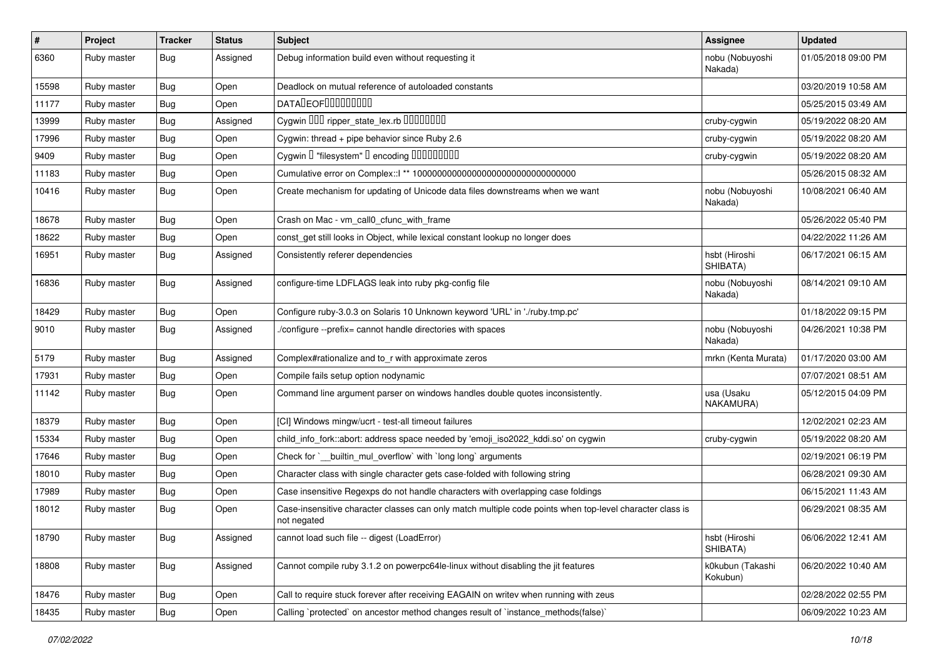| #     | Project     | <b>Tracker</b> | <b>Status</b> | Subject                                                                                                                 | <b>Assignee</b>              | <b>Updated</b>      |
|-------|-------------|----------------|---------------|-------------------------------------------------------------------------------------------------------------------------|------------------------------|---------------------|
| 6360  | Ruby master | <b>Bug</b>     | Assigned      | Debug information build even without requesting it                                                                      | nobu (Nobuyoshi<br>Nakada)   | 01/05/2018 09:00 PM |
| 15598 | Ruby master | Bug            | Open          | Deadlock on mutual reference of autoloaded constants                                                                    |                              | 03/20/2019 10:58 AM |
| 11177 | Ruby master | <b>Bug</b>     | Open          | <b>DATALEOFILILILILILI</b>                                                                                              |                              | 05/25/2015 03:49 AM |
| 13999 | Ruby master | Bug            | Assigned      | Cygwin 000 ripper_state_lex.rb 00000000                                                                                 | cruby-cygwin                 | 05/19/2022 08:20 AM |
| 17996 | Ruby master | Bug            | Open          | Cygwin: thread + pipe behavior since Ruby 2.6                                                                           | cruby-cygwin                 | 05/19/2022 08:20 AM |
| 9409  | Ruby master | <b>Bug</b>     | Open          | Cygwin I "filesystem" I encoding IIIIIIIIIIIII                                                                          | cruby-cygwin                 | 05/19/2022 08:20 AM |
| 11183 | Ruby master | <b>Bug</b>     | Open          |                                                                                                                         |                              | 05/26/2015 08:32 AM |
| 10416 | Ruby master | <b>Bug</b>     | Open          | Create mechanism for updating of Unicode data files downstreams when we want                                            | nobu (Nobuyoshi<br>Nakada)   | 10/08/2021 06:40 AM |
| 18678 | Ruby master | <b>Bug</b>     | Open          | Crash on Mac - vm_call0_cfunc_with_frame                                                                                |                              | 05/26/2022 05:40 PM |
| 18622 | Ruby master | <b>Bug</b>     | Open          | const_get still looks in Object, while lexical constant lookup no longer does                                           |                              | 04/22/2022 11:26 AM |
| 16951 | Ruby master | Bug            | Assigned      | Consistently referer dependencies                                                                                       | hsbt (Hiroshi<br>SHIBATA)    | 06/17/2021 06:15 AM |
| 16836 | Ruby master | <b>Bug</b>     | Assigned      | configure-time LDFLAGS leak into ruby pkg-config file                                                                   | nobu (Nobuyoshi<br>Nakada)   | 08/14/2021 09:10 AM |
| 18429 | Ruby master | <b>Bug</b>     | Open          | Configure ruby-3.0.3 on Solaris 10 Unknown keyword 'URL' in './ruby.tmp.pc'                                             |                              | 01/18/2022 09:15 PM |
| 9010  | Ruby master | Bug            | Assigned      | /configure --prefix= cannot handle directories with spaces                                                              | nobu (Nobuyoshi<br>Nakada)   | 04/26/2021 10:38 PM |
| 5179  | Ruby master | <b>Bug</b>     | Assigned      | Complex#rationalize and to_r with approximate zeros                                                                     | mrkn (Kenta Murata)          | 01/17/2020 03:00 AM |
| 17931 | Ruby master | Bug            | Open          | Compile fails setup option nodynamic                                                                                    |                              | 07/07/2021 08:51 AM |
| 11142 | Ruby master | Bug            | Open          | Command line argument parser on windows handles double quotes inconsistently.                                           | usa (Usaku<br>NAKAMURA)      | 05/12/2015 04:09 PM |
| 18379 | Ruby master | <b>Bug</b>     | Open          | [CI] Windows mingw/ucrt - test-all timeout failures                                                                     |                              | 12/02/2021 02:23 AM |
| 15334 | Ruby master | <b>Bug</b>     | Open          | child_info_fork::abort: address space needed by 'emoji_iso2022_kddi.so' on cygwin                                       | cruby-cygwin                 | 05/19/2022 08:20 AM |
| 17646 | Ruby master | Bug            | Open          | Check for `__builtin_mul_overflow` with `long long` arguments                                                           |                              | 02/19/2021 06:19 PM |
| 18010 | Ruby master | <b>Bug</b>     | Open          | Character class with single character gets case-folded with following string                                            |                              | 06/28/2021 09:30 AM |
| 17989 | Ruby master | <b>Bug</b>     | Open          | Case insensitive Regexps do not handle characters with overlapping case foldings                                        |                              | 06/15/2021 11:43 AM |
| 18012 | Ruby master | Bug            | Open          | Case-insensitive character classes can only match multiple code points when top-level character class is<br>not negated |                              | 06/29/2021 08:35 AM |
| 18790 | Ruby master | Bug            | Assigned      | cannot load such file -- digest (LoadError)                                                                             | hsbt (Hiroshi<br>SHIBATA)    | 06/06/2022 12:41 AM |
| 18808 | Ruby master | Bug            | Assigned      | Cannot compile ruby 3.1.2 on powerpc64le-linux without disabling the jit features                                       | k0kubun (Takashi<br>Kokubun) | 06/20/2022 10:40 AM |
| 18476 | Ruby master | <b>Bug</b>     | Open          | Call to require stuck forever after receiving EAGAIN on writev when running with zeus                                   |                              | 02/28/2022 02:55 PM |
| 18435 | Ruby master | Bug            | Open          | Calling `protected` on ancestor method changes result of `instance_methods(false)`                                      |                              | 06/09/2022 10:23 AM |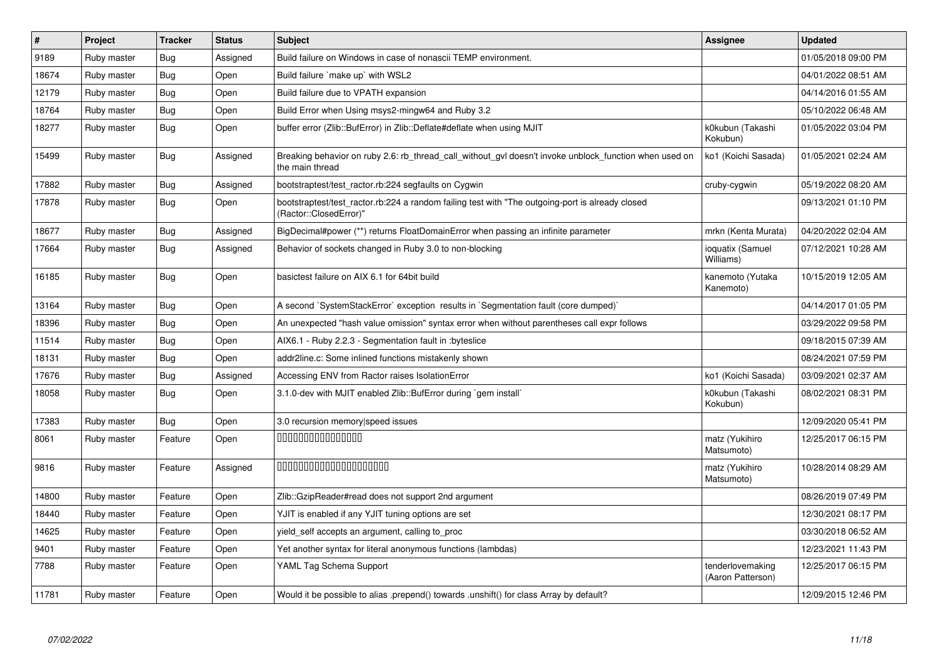| $\#$  | Project     | <b>Tracker</b> | <b>Status</b> | <b>Subject</b>                                                                                                             | <b>Assignee</b>                       | <b>Updated</b>      |
|-------|-------------|----------------|---------------|----------------------------------------------------------------------------------------------------------------------------|---------------------------------------|---------------------|
| 9189  | Ruby master | <b>Bug</b>     | Assigned      | Build failure on Windows in case of nonascii TEMP environment.                                                             |                                       | 01/05/2018 09:00 PM |
| 18674 | Ruby master | <b>Bug</b>     | Open          | Build failure `make up` with WSL2                                                                                          |                                       | 04/01/2022 08:51 AM |
| 12179 | Ruby master | <b>Bug</b>     | Open          | Build failure due to VPATH expansion                                                                                       |                                       | 04/14/2016 01:55 AM |
| 18764 | Ruby master | Bug            | Open          | Build Error when Using msys2-mingw64 and Ruby 3.2                                                                          |                                       | 05/10/2022 06:48 AM |
| 18277 | Ruby master | <b>Bug</b>     | Open          | buffer error (Zlib::BufError) in Zlib::Deflate#deflate when using MJIT                                                     | k0kubun (Takashi<br>Kokubun)          | 01/05/2022 03:04 PM |
| 15499 | Ruby master | <b>Bug</b>     | Assigned      | Breaking behavior on ruby 2.6: rb_thread_call_without_gvl doesn't invoke unblock_function when used on<br>the main thread  | ko1 (Koichi Sasada)                   | 01/05/2021 02:24 AM |
| 17882 | Ruby master | <b>Bug</b>     | Assigned      | bootstraptest/test_ractor.rb:224 segfaults on Cygwin                                                                       | cruby-cygwin                          | 05/19/2022 08:20 AM |
| 17878 | Ruby master | <b>Bug</b>     | Open          | bootstraptest/test_ractor.rb:224 a random failing test with "The outgoing-port is already closed<br>(Ractor::ClosedError)' |                                       | 09/13/2021 01:10 PM |
| 18677 | Ruby master | <b>Bug</b>     | Assigned      | BigDecimal#power (**) returns FloatDomainError when passing an infinite parameter                                          | mrkn (Kenta Murata)                   | 04/20/2022 02:04 AM |
| 17664 | Ruby master | Bug            | Assigned      | Behavior of sockets changed in Ruby 3.0 to non-blocking                                                                    | ioquatix (Samuel<br>Williams)         | 07/12/2021 10:28 AM |
| 16185 | Ruby master | <b>Bug</b>     | Open          | basictest failure on AIX 6.1 for 64bit build                                                                               | kanemoto (Yutaka<br>Kanemoto)         | 10/15/2019 12:05 AM |
| 13164 | Ruby master | <b>Bug</b>     | Open          | A second `SystemStackError` exception results in `Segmentation fault (core dumped)`                                        |                                       | 04/14/2017 01:05 PM |
| 18396 | Ruby master | <b>Bug</b>     | Open          | An unexpected "hash value omission" syntax error when without parentheses call expr follows                                |                                       | 03/29/2022 09:58 PM |
| 11514 | Ruby master | Bug            | Open          | AIX6.1 - Ruby 2.2.3 - Segmentation fault in : byteslice                                                                    |                                       | 09/18/2015 07:39 AM |
| 18131 | Ruby master | <b>Bug</b>     | Open          | addr2line.c: Some inlined functions mistakenly shown                                                                       |                                       | 08/24/2021 07:59 PM |
| 17676 | Ruby master | Bug            | Assigned      | Accessing ENV from Ractor raises IsolationError                                                                            | ko1 (Koichi Sasada)                   | 03/09/2021 02:37 AM |
| 18058 | Ruby master | <b>Bug</b>     | Open          | 3.1.0-dev with MJIT enabled Zlib::BufError during `gem install`                                                            | k0kubun (Takashi<br>Kokubun)          | 08/02/2021 08:31 PM |
| 17383 | Ruby master | Bug            | Open          | 3.0 recursion memory speed issues                                                                                          |                                       | 12/09/2020 05:41 PM |
| 8061  | Ruby master | Feature        | Open          | 000000000000000                                                                                                            | matz (Yukihiro<br>Matsumoto)          | 12/25/2017 06:15 PM |
| 9816  | Ruby master | Feature        | Assigned      | 00000000000000000000                                                                                                       | matz (Yukihiro<br>Matsumoto)          | 10/28/2014 08:29 AM |
| 14800 | Ruby master | Feature        | Open          | Zlib::GzipReader#read does not support 2nd argument                                                                        |                                       | 08/26/2019 07:49 PM |
| 18440 | Ruby master | Feature        | Open          | YJIT is enabled if any YJIT tuning options are set                                                                         |                                       | 12/30/2021 08:17 PM |
| 14625 | Ruby master | Feature        | Open          | yield_self accepts an argument, calling to_proc                                                                            |                                       | 03/30/2018 06:52 AM |
| 9401  | Ruby master | Feature        | Open          | Yet another syntax for literal anonymous functions (lambdas)                                                               |                                       | 12/23/2021 11:43 PM |
| 7788  | Ruby master | Feature        | Open          | YAML Tag Schema Support                                                                                                    | tenderlovemaking<br>(Aaron Patterson) | 12/25/2017 06:15 PM |
| 11781 | Ruby master | Feature        | Open          | Would it be possible to alias .prepend() towards .unshift() for class Array by default?                                    |                                       | 12/09/2015 12:46 PM |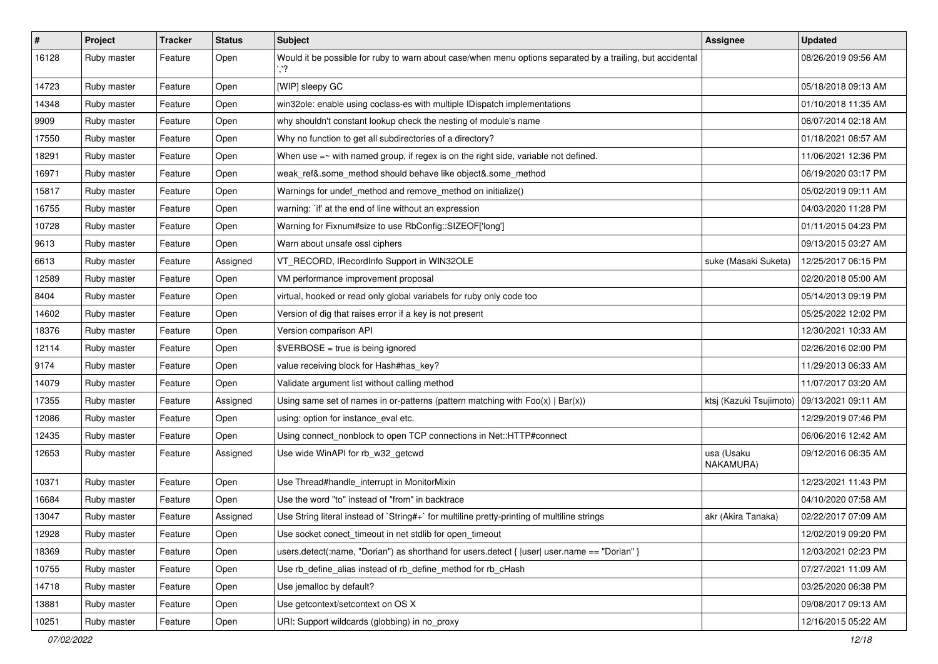| $\pmb{\#}$ | Project     | <b>Tracker</b> | <b>Status</b> | Subject                                                                                                    | Assignee                | <b>Updated</b>      |
|------------|-------------|----------------|---------------|------------------------------------------------------------------------------------------------------------|-------------------------|---------------------|
| 16128      | Ruby master | Feature        | Open          | Would it be possible for ruby to warn about case/when menu options separated by a trailing, but accidental |                         | 08/26/2019 09:56 AM |
| 14723      | Ruby master | Feature        | Open          | [WIP] sleepy GC                                                                                            |                         | 05/18/2018 09:13 AM |
| 14348      | Ruby master | Feature        | Open          | win32ole: enable using coclass-es with multiple IDispatch implementations                                  |                         | 01/10/2018 11:35 AM |
| 9909       | Ruby master | Feature        | Open          | why shouldn't constant lookup check the nesting of module's name                                           |                         | 06/07/2014 02:18 AM |
| 17550      | Ruby master | Feature        | Open          | Why no function to get all subdirectories of a directory?                                                  |                         | 01/18/2021 08:57 AM |
| 18291      | Ruby master | Feature        | Open          | When use $=\sim$ with named group, if regex is on the right side, variable not defined.                    |                         | 11/06/2021 12:36 PM |
| 16971      | Ruby master | Feature        | Open          | weak_ref&.some_method should behave like object&.some_method                                               |                         | 06/19/2020 03:17 PM |
| 15817      | Ruby master | Feature        | Open          | Warnings for undef method and remove method on initialize()                                                |                         | 05/02/2019 09:11 AM |
| 16755      | Ruby master | Feature        | Open          | warning: `if' at the end of line without an expression                                                     |                         | 04/03/2020 11:28 PM |
| 10728      | Ruby master | Feature        | Open          | Warning for Fixnum#size to use RbConfig::SIZEOF['long']                                                    |                         | 01/11/2015 04:23 PM |
| 9613       | Ruby master | Feature        | Open          | Warn about unsafe ossl ciphers                                                                             |                         | 09/13/2015 03:27 AM |
| 6613       | Ruby master | Feature        | Assigned      | VT_RECORD, IRecordInfo Support in WIN32OLE                                                                 | suke (Masaki Suketa)    | 12/25/2017 06:15 PM |
| 12589      | Ruby master | Feature        | Open          | VM performance improvement proposal                                                                        |                         | 02/20/2018 05:00 AM |
| 8404       | Ruby master | Feature        | Open          | virtual, hooked or read only global variabels for ruby only code too                                       |                         | 05/14/2013 09:19 PM |
| 14602      | Ruby master | Feature        | Open          | Version of dig that raises error if a key is not present                                                   |                         | 05/25/2022 12:02 PM |
| 18376      | Ruby master | Feature        | Open          | Version comparison API                                                                                     |                         | 12/30/2021 10:33 AM |
| 12114      | Ruby master | Feature        | Open          | \$VERBOSE = true is being ignored                                                                          |                         | 02/26/2016 02:00 PM |
| 9174       | Ruby master | Feature        | Open          | value receiving block for Hash#has_key?                                                                    |                         | 11/29/2013 06:33 AM |
| 14079      | Ruby master | Feature        | Open          | Validate argument list without calling method                                                              |                         | 11/07/2017 03:20 AM |
| 17355      | Ruby master | Feature        | Assigned      | Using same set of names in or-patterns (pattern matching with $Foo(x)   Bar(x)$ )                          | ktsj (Kazuki Tsujimoto) | 09/13/2021 09:11 AM |
| 12086      | Ruby master | Feature        | Open          | using: option for instance_eval etc.                                                                       |                         | 12/29/2019 07:46 PM |
| 12435      | Ruby master | Feature        | Open          | Using connect_nonblock to open TCP connections in Net::HTTP#connect                                        |                         | 06/06/2016 12:42 AM |
| 12653      | Ruby master | Feature        | Assigned      | Use wide WinAPI for rb_w32_getcwd                                                                          | usa (Usaku<br>NAKAMURA) | 09/12/2016 06:35 AM |
| 10371      | Ruby master | Feature        | Open          | Use Thread#handle_interrupt in MonitorMixin                                                                |                         | 12/23/2021 11:43 PM |
| 16684      | Ruby master | Feature        | Open          | Use the word "to" instead of "from" in backtrace                                                           |                         | 04/10/2020 07:58 AM |
| 13047      | Ruby master | Feature        | Assigned      | Use String literal instead of `String#+` for multiline pretty-printing of multiline strings                | akr (Akira Tanaka)      | 02/22/2017 07:09 AM |
| 12928      | Ruby master | Feature        | Open          | Use socket conect timeout in net stdlib for open timeout                                                   |                         | 12/02/2019 09:20 PM |
| 18369      | Ruby master | Feature        | Open          | users.detect(:name, "Dorian") as shorthand for users.detect {  user  user.name == "Dorian" }               |                         | 12/03/2021 02:23 PM |
| 10755      | Ruby master | Feature        | Open          | Use rb_define_alias instead of rb_define_method for rb_cHash                                               |                         | 07/27/2021 11:09 AM |
| 14718      | Ruby master | Feature        | Open          | Use jemalloc by default?                                                                                   |                         | 03/25/2020 06:38 PM |
| 13881      | Ruby master | Feature        | Open          | Use getcontext/setcontext on OS X                                                                          |                         | 09/08/2017 09:13 AM |
| 10251      | Ruby master | Feature        | Open          | URI: Support wildcards (globbing) in no_proxy                                                              |                         | 12/16/2015 05:22 AM |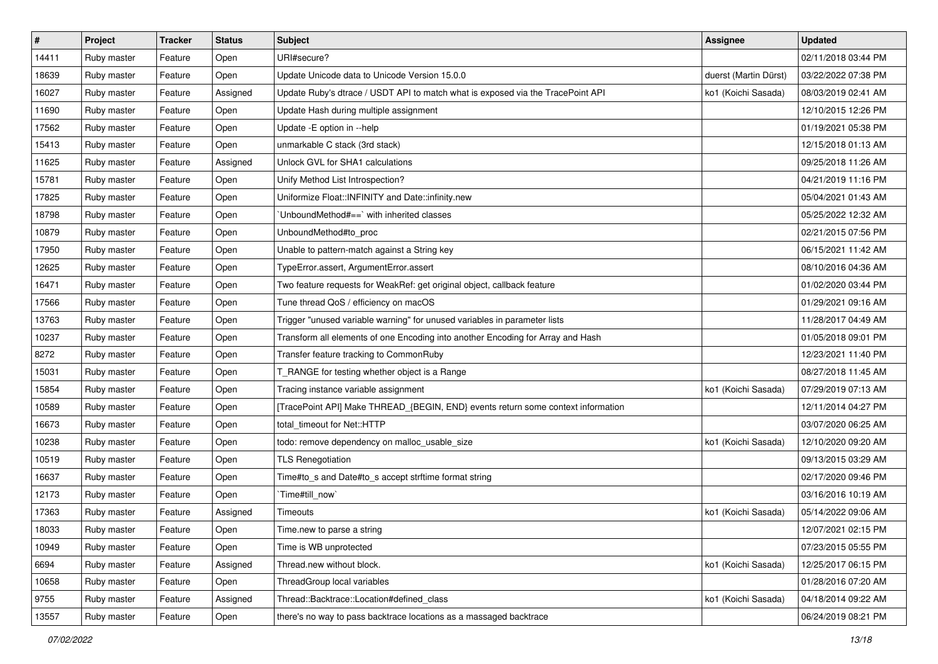| $\#$  | Project     | <b>Tracker</b> | <b>Status</b> | Subject                                                                          | <b>Assignee</b>       | <b>Updated</b>      |
|-------|-------------|----------------|---------------|----------------------------------------------------------------------------------|-----------------------|---------------------|
| 14411 | Ruby master | Feature        | Open          | URI#secure?                                                                      |                       | 02/11/2018 03:44 PM |
| 18639 | Ruby master | Feature        | Open          | Update Unicode data to Unicode Version 15.0.0                                    | duerst (Martin Dürst) | 03/22/2022 07:38 PM |
| 16027 | Ruby master | Feature        | Assigned      | Update Ruby's dtrace / USDT API to match what is exposed via the TracePoint API  | ko1 (Koichi Sasada)   | 08/03/2019 02:41 AM |
| 11690 | Ruby master | Feature        | Open          | Update Hash during multiple assignment                                           |                       | 12/10/2015 12:26 PM |
| 17562 | Ruby master | Feature        | Open          | Update - E option in --help                                                      |                       | 01/19/2021 05:38 PM |
| 15413 | Ruby master | Feature        | Open          | unmarkable C stack (3rd stack)                                                   |                       | 12/15/2018 01:13 AM |
| 11625 | Ruby master | Feature        | Assigned      | Unlock GVL for SHA1 calculations                                                 |                       | 09/25/2018 11:26 AM |
| 15781 | Ruby master | Feature        | Open          | Unify Method List Introspection?                                                 |                       | 04/21/2019 11:16 PM |
| 17825 | Ruby master | Feature        | Open          | Uniformize Float::INFINITY and Date::infinity.new                                |                       | 05/04/2021 01:43 AM |
| 18798 | Ruby master | Feature        | Open          | 'UnboundMethod#==' with inherited classes                                        |                       | 05/25/2022 12:32 AM |
| 10879 | Ruby master | Feature        | Open          | UnboundMethod#to_proc                                                            |                       | 02/21/2015 07:56 PM |
| 17950 | Ruby master | Feature        | Open          | Unable to pattern-match against a String key                                     |                       | 06/15/2021 11:42 AM |
| 12625 | Ruby master | Feature        | Open          | TypeError.assert, ArgumentError.assert                                           |                       | 08/10/2016 04:36 AM |
| 16471 | Ruby master | Feature        | Open          | Two feature requests for WeakRef: get original object, callback feature          |                       | 01/02/2020 03:44 PM |
| 17566 | Ruby master | Feature        | Open          | Tune thread QoS / efficiency on macOS                                            |                       | 01/29/2021 09:16 AM |
| 13763 | Ruby master | Feature        | Open          | Trigger "unused variable warning" for unused variables in parameter lists        |                       | 11/28/2017 04:49 AM |
| 10237 | Ruby master | Feature        | Open          | Transform all elements of one Encoding into another Encoding for Array and Hash  |                       | 01/05/2018 09:01 PM |
| 8272  | Ruby master | Feature        | Open          | Transfer feature tracking to CommonRuby                                          |                       | 12/23/2021 11:40 PM |
| 15031 | Ruby master | Feature        | Open          | T_RANGE for testing whether object is a Range                                    |                       | 08/27/2018 11:45 AM |
| 15854 | Ruby master | Feature        | Open          | Tracing instance variable assignment                                             | ko1 (Koichi Sasada)   | 07/29/2019 07:13 AM |
| 10589 | Ruby master | Feature        | Open          | [TracePoint API] Make THREAD_{BEGIN, END} events return some context information |                       | 12/11/2014 04:27 PM |
| 16673 | Ruby master | Feature        | Open          | total_timeout for Net::HTTP                                                      |                       | 03/07/2020 06:25 AM |
| 10238 | Ruby master | Feature        | Open          | todo: remove dependency on malloc_usable_size                                    | ko1 (Koichi Sasada)   | 12/10/2020 09:20 AM |
| 10519 | Ruby master | Feature        | Open          | <b>TLS Renegotiation</b>                                                         |                       | 09/13/2015 03:29 AM |
| 16637 | Ruby master | Feature        | Open          | Time#to_s and Date#to_s accept strftime format string                            |                       | 02/17/2020 09:46 PM |
| 12173 | Ruby master | Feature        | Open          | Time#till_now                                                                    |                       | 03/16/2016 10:19 AM |
| 17363 | Ruby master | Feature        | Assigned      | Timeouts                                                                         | ko1 (Koichi Sasada)   | 05/14/2022 09:06 AM |
| 18033 | Ruby master | Feature        | Open          | Time.new to parse a string                                                       |                       | 12/07/2021 02:15 PM |
| 10949 | Ruby master | Feature        | Open          | Time is WB unprotected                                                           |                       | 07/23/2015 05:55 PM |
| 6694  | Ruby master | Feature        | Assigned      | Thread.new without block.                                                        | ko1 (Koichi Sasada)   | 12/25/2017 06:15 PM |
| 10658 | Ruby master | Feature        | Open          | ThreadGroup local variables                                                      |                       | 01/28/2016 07:20 AM |
| 9755  | Ruby master | Feature        | Assigned      | Thread::Backtrace::Location#defined_class                                        | ko1 (Koichi Sasada)   | 04/18/2014 09:22 AM |
| 13557 | Ruby master | Feature        | Open          | there's no way to pass backtrace locations as a massaged backtrace               |                       | 06/24/2019 08:21 PM |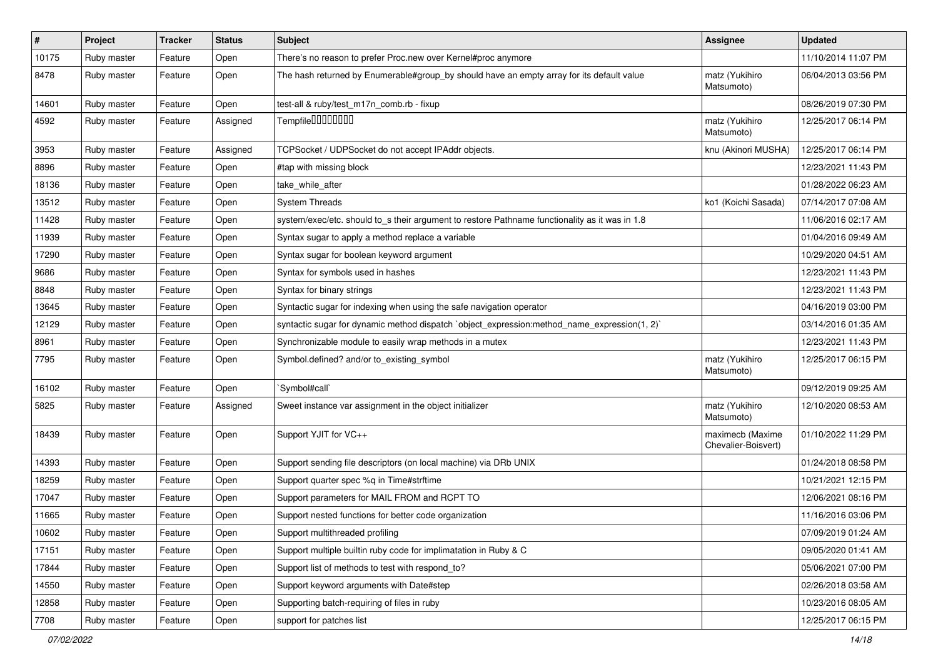| $\vert$ # | Project     | <b>Tracker</b> | <b>Status</b> | <b>Subject</b>                                                                                 | <b>Assignee</b>                         | <b>Updated</b>      |
|-----------|-------------|----------------|---------------|------------------------------------------------------------------------------------------------|-----------------------------------------|---------------------|
| 10175     | Ruby master | Feature        | Open          | There's no reason to prefer Proc.new over Kernel#proc anymore                                  |                                         | 11/10/2014 11:07 PM |
| 8478      | Ruby master | Feature        | Open          | The hash returned by Enumerable#group_by should have an empty array for its default value      | matz (Yukihiro<br>Matsumoto)            | 06/04/2013 03:56 PM |
| 14601     | Ruby master | Feature        | Open          | test-all & ruby/test_m17n_comb.rb - fixup                                                      |                                         | 08/26/2019 07:30 PM |
| 4592      | Ruby master | Feature        | Assigned      | Tempfile0000000                                                                                | matz (Yukihiro<br>Matsumoto)            | 12/25/2017 06:14 PM |
| 3953      | Ruby master | Feature        | Assigned      | TCPSocket / UDPSocket do not accept IPAddr objects.                                            | knu (Akinori MUSHA)                     | 12/25/2017 06:14 PM |
| 8896      | Ruby master | Feature        | Open          | #tap with missing block                                                                        |                                         | 12/23/2021 11:43 PM |
| 18136     | Ruby master | Feature        | Open          | take while after                                                                               |                                         | 01/28/2022 06:23 AM |
| 13512     | Ruby master | Feature        | Open          | <b>System Threads</b>                                                                          | ko1 (Koichi Sasada)                     | 07/14/2017 07:08 AM |
| 11428     | Ruby master | Feature        | Open          | system/exec/etc. should to s their argument to restore Pathname functionality as it was in 1.8 |                                         | 11/06/2016 02:17 AM |
| 11939     | Ruby master | Feature        | Open          | Syntax sugar to apply a method replace a variable                                              |                                         | 01/04/2016 09:49 AM |
| 17290     | Ruby master | Feature        | Open          | Syntax sugar for boolean keyword argument                                                      |                                         | 10/29/2020 04:51 AM |
| 9686      | Ruby master | Feature        | Open          | Syntax for symbols used in hashes                                                              |                                         | 12/23/2021 11:43 PM |
| 8848      | Ruby master | Feature        | Open          | Syntax for binary strings                                                                      |                                         | 12/23/2021 11:43 PM |
| 13645     | Ruby master | Feature        | Open          | Syntactic sugar for indexing when using the safe navigation operator                           |                                         | 04/16/2019 03:00 PM |
| 12129     | Ruby master | Feature        | Open          | syntactic sugar for dynamic method dispatch `object_expression:method_name_expression(1, 2)`   |                                         | 03/14/2016 01:35 AM |
| 8961      | Ruby master | Feature        | Open          | Synchronizable module to easily wrap methods in a mutex                                        |                                         | 12/23/2021 11:43 PM |
| 7795      | Ruby master | Feature        | Open          | Symbol.defined? and/or to_existing_symbol                                                      | matz (Yukihiro<br>Matsumoto)            | 12/25/2017 06:15 PM |
| 16102     | Ruby master | Feature        | Open          | 'Symbol#call'                                                                                  |                                         | 09/12/2019 09:25 AM |
| 5825      | Ruby master | Feature        | Assigned      | Sweet instance var assignment in the object initializer                                        | matz (Yukihiro<br>Matsumoto)            | 12/10/2020 08:53 AM |
| 18439     | Ruby master | Feature        | Open          | Support YJIT for VC++                                                                          | maximecb (Maxime<br>Chevalier-Boisvert) | 01/10/2022 11:29 PM |
| 14393     | Ruby master | Feature        | Open          | Support sending file descriptors (on local machine) via DRb UNIX                               |                                         | 01/24/2018 08:58 PM |
| 18259     | Ruby master | Feature        | Open          | Support quarter spec %q in Time#strftime                                                       |                                         | 10/21/2021 12:15 PM |
| 17047     | Ruby master | Feature        | Open          | Support parameters for MAIL FROM and RCPT TO                                                   |                                         | 12/06/2021 08:16 PM |
| 11665     | Ruby master | Feature        | Open          | Support nested functions for better code organization                                          |                                         | 11/16/2016 03:06 PM |
| 10602     | Ruby master | Feature        | Open          | Support multithreaded profiling                                                                |                                         | 07/09/2019 01:24 AM |
| 17151     | Ruby master | Feature        | Open          | Support multiple builtin ruby code for implimatation in Ruby & C                               |                                         | 09/05/2020 01:41 AM |
| 17844     | Ruby master | Feature        | Open          | Support list of methods to test with respond to?                                               |                                         | 05/06/2021 07:00 PM |
| 14550     | Ruby master | Feature        | Open          | Support keyword arguments with Date#step                                                       |                                         | 02/26/2018 03:58 AM |
| 12858     | Ruby master | Feature        | Open          | Supporting batch-requiring of files in ruby                                                    |                                         | 10/23/2016 08:05 AM |
| 7708      | Ruby master | Feature        | Open          | support for patches list                                                                       |                                         | 12/25/2017 06:15 PM |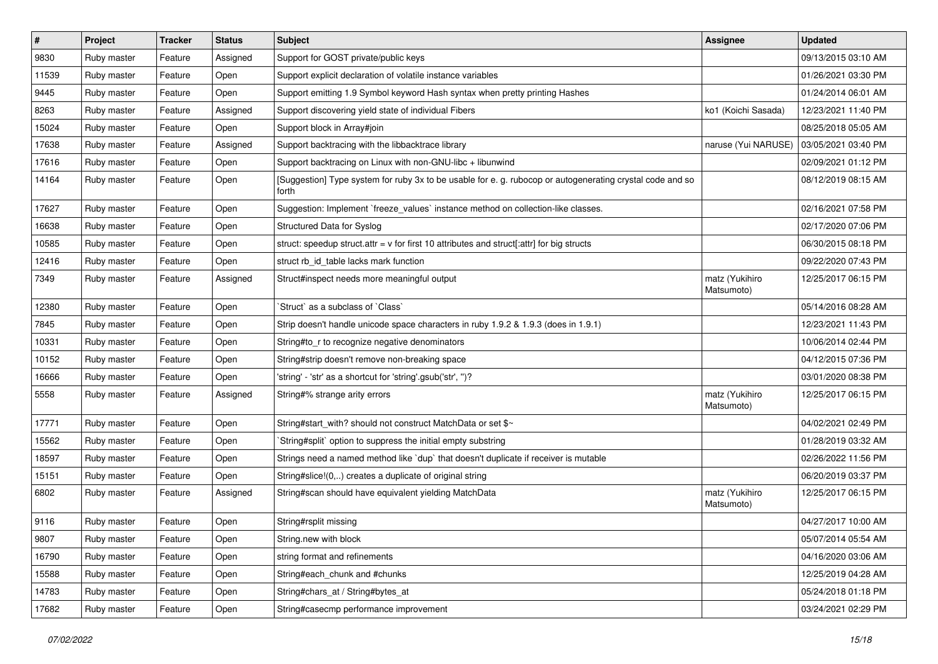| $\vert$ # | Project     | <b>Tracker</b> | <b>Status</b> | Subject                                                                                                            | Assignee                     | <b>Updated</b>      |
|-----------|-------------|----------------|---------------|--------------------------------------------------------------------------------------------------------------------|------------------------------|---------------------|
| 9830      | Ruby master | Feature        | Assigned      | Support for GOST private/public keys                                                                               |                              | 09/13/2015 03:10 AM |
| 11539     | Ruby master | Feature        | Open          | Support explicit declaration of volatile instance variables                                                        |                              | 01/26/2021 03:30 PM |
| 9445      | Ruby master | Feature        | Open          | Support emitting 1.9 Symbol keyword Hash syntax when pretty printing Hashes                                        |                              | 01/24/2014 06:01 AM |
| 8263      | Ruby master | Feature        | Assigned      | Support discovering yield state of individual Fibers                                                               | ko1 (Koichi Sasada)          | 12/23/2021 11:40 PM |
| 15024     | Ruby master | Feature        | Open          | Support block in Array#join                                                                                        |                              | 08/25/2018 05:05 AM |
| 17638     | Ruby master | Feature        | Assigned      | Support backtracing with the libbacktrace library                                                                  | naruse (Yui NARUSE)          | 03/05/2021 03:40 PM |
| 17616     | Ruby master | Feature        | Open          | Support backtracing on Linux with non-GNU-libc + libunwind                                                         |                              | 02/09/2021 01:12 PM |
| 14164     | Ruby master | Feature        | Open          | [Suggestion] Type system for ruby 3x to be usable for e. g. rubocop or autogenerating crystal code and so<br>forth |                              | 08/12/2019 08:15 AM |
| 17627     | Ruby master | Feature        | Open          | Suggestion: Implement `freeze_values` instance method on collection-like classes.                                  |                              | 02/16/2021 07:58 PM |
| 16638     | Ruby master | Feature        | Open          | Structured Data for Syslog                                                                                         |                              | 02/17/2020 07:06 PM |
| 10585     | Ruby master | Feature        | Open          | struct: speedup struct.attr = $v$ for first 10 attributes and struct[:attr] for big structs                        |                              | 06/30/2015 08:18 PM |
| 12416     | Ruby master | Feature        | Open          | struct rb_id_table lacks mark function                                                                             |                              | 09/22/2020 07:43 PM |
| 7349      | Ruby master | Feature        | Assigned      | Struct#inspect needs more meaningful output                                                                        | matz (Yukihiro<br>Matsumoto) | 12/25/2017 06:15 PM |
| 12380     | Ruby master | Feature        | Open          | 'Struct' as a subclass of 'Class'                                                                                  |                              | 05/14/2016 08:28 AM |
| 7845      | Ruby master | Feature        | Open          | Strip doesn't handle unicode space characters in ruby 1.9.2 & 1.9.3 (does in 1.9.1)                                |                              | 12/23/2021 11:43 PM |
| 10331     | Ruby master | Feature        | Open          | String#to_r to recognize negative denominators                                                                     |                              | 10/06/2014 02:44 PM |
| 10152     | Ruby master | Feature        | Open          | String#strip doesn't remove non-breaking space                                                                     |                              | 04/12/2015 07:36 PM |
| 16666     | Ruby master | Feature        | Open          | 'string' - 'str' as a shortcut for 'string'.gsub('str', ")?                                                        |                              | 03/01/2020 08:38 PM |
| 5558      | Ruby master | Feature        | Assigned      | String#% strange arity errors                                                                                      | matz (Yukihiro<br>Matsumoto) | 12/25/2017 06:15 PM |
| 17771     | Ruby master | Feature        | Open          | String#start_with? should not construct MatchData or set \$~                                                       |                              | 04/02/2021 02:49 PM |
| 15562     | Ruby master | Feature        | Open          | String#split` option to suppress the initial empty substring                                                       |                              | 01/28/2019 03:32 AM |
| 18597     | Ruby master | Feature        | Open          | Strings need a named method like 'dup' that doesn't duplicate if receiver is mutable                               |                              | 02/26/2022 11:56 PM |
| 15151     | Ruby master | Feature        | Open          | String#slice!(0,) creates a duplicate of original string                                                           |                              | 06/20/2019 03:37 PM |
| 6802      | Ruby master | Feature        | Assigned      | String#scan should have equivalent yielding MatchData                                                              | matz (Yukihiro<br>Matsumoto) | 12/25/2017 06:15 PM |
| 9116      | Ruby master | Feature        | Open          | String#rsplit missing                                                                                              |                              | 04/27/2017 10:00 AM |
| 9807      | Ruby master | Feature        | Open          | String.new with block                                                                                              |                              | 05/07/2014 05:54 AM |
| 16790     | Ruby master | Feature        | Open          | string format and refinements                                                                                      |                              | 04/16/2020 03:06 AM |
| 15588     | Ruby master | Feature        | Open          | String#each chunk and #chunks                                                                                      |                              | 12/25/2019 04:28 AM |
| 14783     | Ruby master | Feature        | Open          | String#chars_at / String#bytes_at                                                                                  |                              | 05/24/2018 01:18 PM |
| 17682     | Ruby master | Feature        | Open          | String#casecmp performance improvement                                                                             |                              | 03/24/2021 02:29 PM |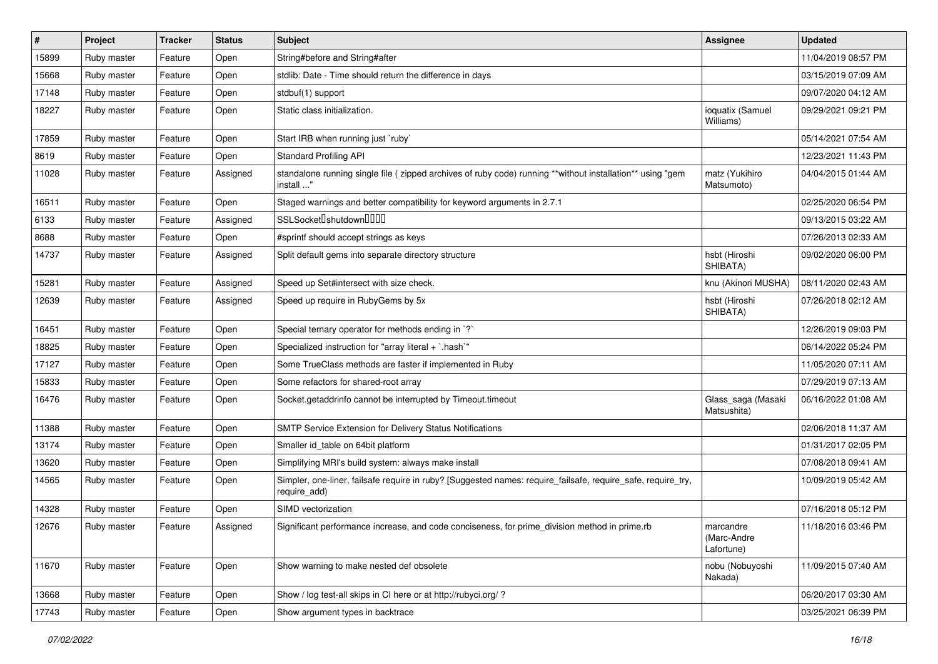| ∦     | Project     | <b>Tracker</b> | <b>Status</b> | Subject                                                                                                                      | <b>Assignee</b>                        | <b>Updated</b>      |
|-------|-------------|----------------|---------------|------------------------------------------------------------------------------------------------------------------------------|----------------------------------------|---------------------|
| 15899 | Ruby master | Feature        | Open          | String#before and String#after                                                                                               |                                        | 11/04/2019 08:57 PM |
| 15668 | Ruby master | Feature        | Open          | stdlib: Date - Time should return the difference in days                                                                     |                                        | 03/15/2019 07:09 AM |
| 17148 | Ruby master | Feature        | Open          | stdbuf(1) support                                                                                                            |                                        | 09/07/2020 04:12 AM |
| 18227 | Ruby master | Feature        | Open          | Static class initialization.                                                                                                 | ioquatix (Samuel<br>Williams)          | 09/29/2021 09:21 PM |
| 17859 | Ruby master | Feature        | Open          | Start IRB when running just `ruby`                                                                                           |                                        | 05/14/2021 07:54 AM |
| 8619  | Ruby master | Feature        | Open          | <b>Standard Profiling API</b>                                                                                                |                                        | 12/23/2021 11:43 PM |
| 11028 | Ruby master | Feature        | Assigned      | standalone running single file ( zipped archives of ruby code) running **without installation** using "gem<br>install "      | matz (Yukihiro<br>Matsumoto)           | 04/04/2015 01:44 AM |
| 16511 | Ruby master | Feature        | Open          | Staged warnings and better compatibility for keyword arguments in 2.7.1                                                      |                                        | 02/25/2020 06:54 PM |
| 6133  | Ruby master | Feature        | Assigned      | SSLSocketlshutdownllllll                                                                                                     |                                        | 09/13/2015 03:22 AM |
| 8688  | Ruby master | Feature        | Open          | #sprintf should accept strings as keys                                                                                       |                                        | 07/26/2013 02:33 AM |
| 14737 | Ruby master | Feature        | Assigned      | Split default gems into separate directory structure                                                                         | hsbt (Hiroshi<br>SHIBATA)              | 09/02/2020 06:00 PM |
| 15281 | Ruby master | Feature        | Assigned      | Speed up Set#intersect with size check.                                                                                      | knu (Akinori MUSHA)                    | 08/11/2020 02:43 AM |
| 12639 | Ruby master | Feature        | Assigned      | Speed up require in RubyGems by 5x                                                                                           | hsbt (Hiroshi<br>SHIBATA)              | 07/26/2018 02:12 AM |
| 16451 | Ruby master | Feature        | Open          | Special ternary operator for methods ending in `?`                                                                           |                                        | 12/26/2019 09:03 PM |
| 18825 | Ruby master | Feature        | Open          | Specialized instruction for "array literal + `.hash`"                                                                        |                                        | 06/14/2022 05:24 PM |
| 17127 | Ruby master | Feature        | Open          | Some TrueClass methods are faster if implemented in Ruby                                                                     |                                        | 11/05/2020 07:11 AM |
| 15833 | Ruby master | Feature        | Open          | Some refactors for shared-root array                                                                                         |                                        | 07/29/2019 07:13 AM |
| 16476 | Ruby master | Feature        | Open          | Socket.getaddrinfo cannot be interrupted by Timeout.timeout                                                                  | Glass_saga (Masaki<br>Matsushita)      | 06/16/2022 01:08 AM |
| 11388 | Ruby master | Feature        | Open          | SMTP Service Extension for Delivery Status Notifications                                                                     |                                        | 02/06/2018 11:37 AM |
| 13174 | Ruby master | Feature        | Open          | Smaller id table on 64bit platform                                                                                           |                                        | 01/31/2017 02:05 PM |
| 13620 | Ruby master | Feature        | Open          | Simplifying MRI's build system: always make install                                                                          |                                        | 07/08/2018 09:41 AM |
| 14565 | Ruby master | Feature        | Open          | Simpler, one-liner, failsafe require in ruby? [Suggested names: require_failsafe, require_safe, require_try,<br>require_add) |                                        | 10/09/2019 05:42 AM |
| 14328 | Ruby master | Feature        | Open          | SIMD vectorization                                                                                                           |                                        | 07/16/2018 05:12 PM |
| 12676 | Ruby master | Feature        | Assigned      | Significant performance increase, and code conciseness, for prime_division method in prime.rb                                | marcandre<br>(Marc-Andre<br>Lafortune) | 11/18/2016 03:46 PM |
| 11670 | Ruby master | Feature        | Open          | Show warning to make nested def obsolete                                                                                     | nobu (Nobuyoshi<br>Nakada)             | 11/09/2015 07:40 AM |
| 13668 | Ruby master | Feature        | Open          | Show / log test-all skips in CI here or at http://rubyci.org/?                                                               |                                        | 06/20/2017 03:30 AM |
| 17743 | Ruby master | Feature        | Open          | Show argument types in backtrace                                                                                             |                                        | 03/25/2021 06:39 PM |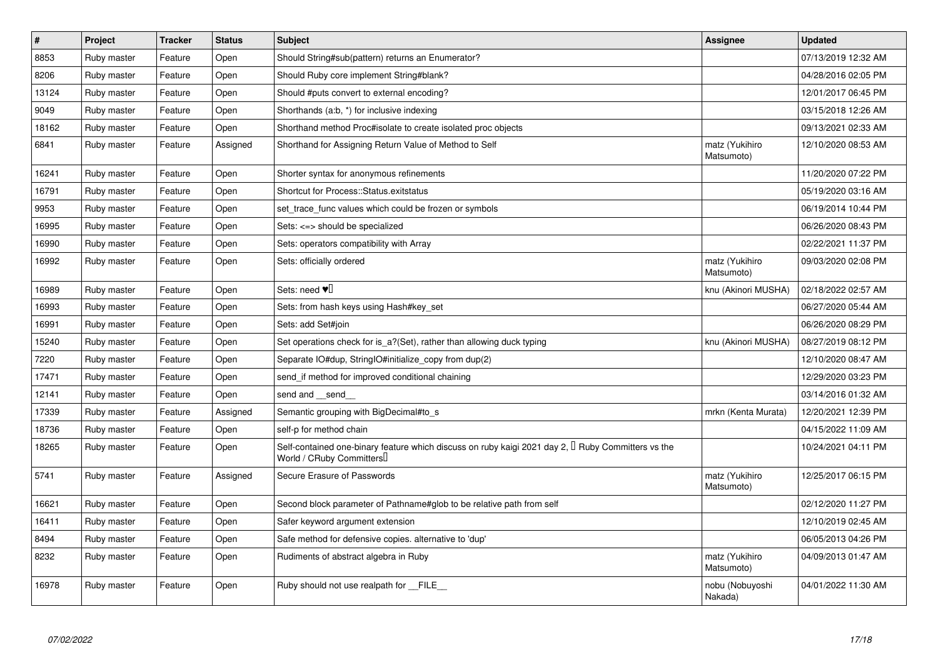| $\vert$ # | Project     | <b>Tracker</b> | <b>Status</b> | <b>Subject</b>                                                                                                                      | Assignee                     | <b>Updated</b>      |
|-----------|-------------|----------------|---------------|-------------------------------------------------------------------------------------------------------------------------------------|------------------------------|---------------------|
| 8853      | Ruby master | Feature        | Open          | Should String#sub(pattern) returns an Enumerator?                                                                                   |                              | 07/13/2019 12:32 AM |
| 8206      | Ruby master | Feature        | Open          | Should Ruby core implement String#blank?                                                                                            |                              | 04/28/2016 02:05 PM |
| 13124     | Ruby master | Feature        | Open          | Should #puts convert to external encoding?                                                                                          |                              | 12/01/2017 06:45 PM |
| 9049      | Ruby master | Feature        | Open          | Shorthands (a:b, *) for inclusive indexing                                                                                          |                              | 03/15/2018 12:26 AM |
| 18162     | Ruby master | Feature        | Open          | Shorthand method Proc#isolate to create isolated proc objects                                                                       |                              | 09/13/2021 02:33 AM |
| 6841      | Ruby master | Feature        | Assigned      | Shorthand for Assigning Return Value of Method to Self                                                                              | matz (Yukihiro<br>Matsumoto) | 12/10/2020 08:53 AM |
| 16241     | Ruby master | Feature        | Open          | Shorter syntax for anonymous refinements                                                                                            |                              | 11/20/2020 07:22 PM |
| 16791     | Ruby master | Feature        | Open          | Shortcut for Process::Status.exitstatus                                                                                             |                              | 05/19/2020 03:16 AM |
| 9953      | Ruby master | Feature        | Open          | set trace func values which could be frozen or symbols                                                                              |                              | 06/19/2014 10:44 PM |
| 16995     | Ruby master | Feature        | Open          | Sets: <=> should be specialized                                                                                                     |                              | 06/26/2020 08:43 PM |
| 16990     | Ruby master | Feature        | Open          | Sets: operators compatibility with Array                                                                                            |                              | 02/22/2021 11:37 PM |
| 16992     | Ruby master | Feature        | Open          | Sets: officially ordered                                                                                                            | matz (Yukihiro<br>Matsumoto) | 09/03/2020 02:08 PM |
| 16989     | Ruby master | Feature        | Open          | Sets: need $\Psi$                                                                                                                   | knu (Akinori MUSHA)          | 02/18/2022 02:57 AM |
| 16993     | Ruby master | Feature        | Open          | Sets: from hash keys using Hash#key set                                                                                             |                              | 06/27/2020 05:44 AM |
| 16991     | Ruby master | Feature        | Open          | Sets: add Set#join                                                                                                                  |                              | 06/26/2020 08:29 PM |
| 15240     | Ruby master | Feature        | Open          | Set operations check for is_a?(Set), rather than allowing duck typing                                                               | knu (Akinori MUSHA)          | 08/27/2019 08:12 PM |
| 7220      | Ruby master | Feature        | Open          | Separate IO#dup, StringIO#initialize_copy from dup(2)                                                                               |                              | 12/10/2020 08:47 AM |
| 17471     | Ruby master | Feature        | Open          | send_if method for improved conditional chaining                                                                                    |                              | 12/29/2020 03:23 PM |
| 12141     | Ruby master | Feature        | Open          | send and send                                                                                                                       |                              | 03/14/2016 01:32 AM |
| 17339     | Ruby master | Feature        | Assigned      | Semantic grouping with BigDecimal#to s                                                                                              | mrkn (Kenta Murata)          | 12/20/2021 12:39 PM |
| 18736     | Ruby master | Feature        | Open          | self-p for method chain                                                                                                             |                              | 04/15/2022 11:09 AM |
| 18265     | Ruby master | Feature        | Open          | Self-contained one-binary feature which discuss on ruby kaigi 2021 day 2, $\Box$ Ruby Committers vs the<br>World / CRuby Committers |                              | 10/24/2021 04:11 PM |
| 5741      | Ruby master | Feature        | Assigned      | Secure Erasure of Passwords                                                                                                         | matz (Yukihiro<br>Matsumoto) | 12/25/2017 06:15 PM |
| 16621     | Ruby master | Feature        | Open          | Second block parameter of Pathname#glob to be relative path from self                                                               |                              | 02/12/2020 11:27 PM |
| 16411     | Ruby master | Feature        | Open          | Safer keyword argument extension                                                                                                    |                              | 12/10/2019 02:45 AM |
| 8494      | Ruby master | Feature        | Open          | Safe method for defensive copies. alternative to 'dup'                                                                              |                              | 06/05/2013 04:26 PM |
| 8232      | Ruby master | Feature        | Open          | Rudiments of abstract algebra in Ruby                                                                                               | matz (Yukihiro<br>Matsumoto) | 04/09/2013 01:47 AM |
| 16978     | Ruby master | Feature        | Open          | Ruby should not use realpath for __FILE__                                                                                           | nobu (Nobuyoshi<br>Nakada)   | 04/01/2022 11:30 AM |